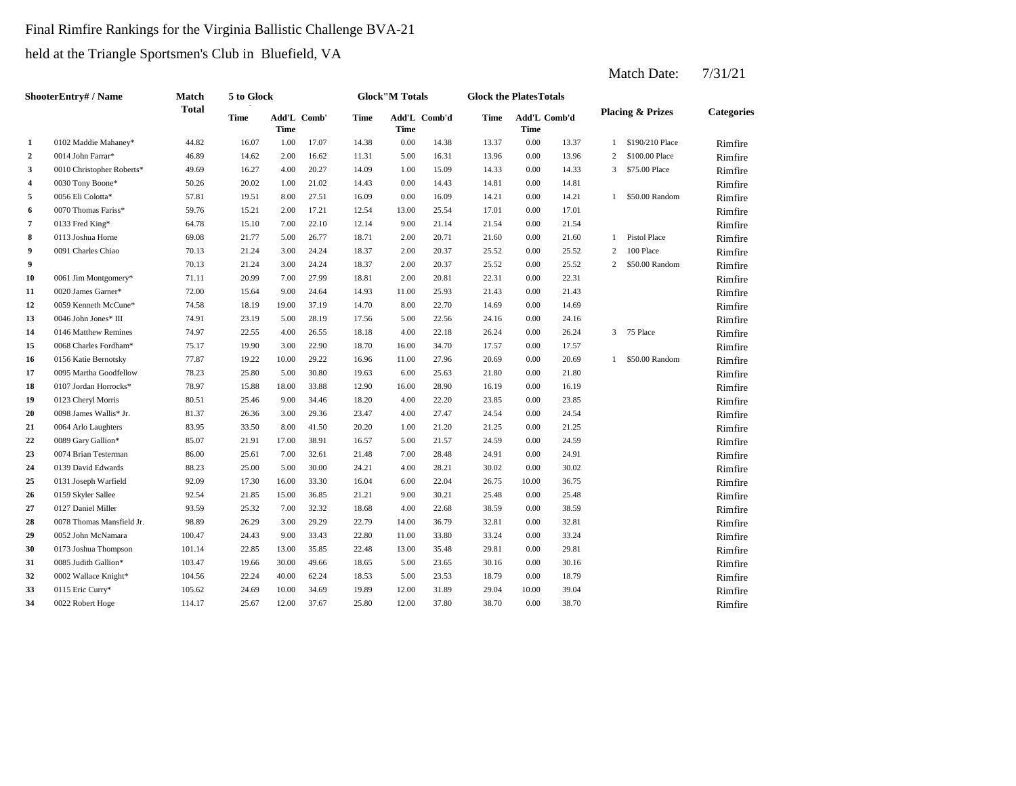## Final Rimfire Rankings for the Virginia Ballistic Challenge BVA-21

held at the Triangle Sportsmen's Club in Bluefield, VA

|              | <b>ShooterEntry#/Name</b> | <b>Match</b> | 5 to Glock  |                            |       |             | <b>Glock</b> "M Totals      |       | <b>Glock the PlatesTotals</b> |                      |       |                |                             |                   |
|--------------|---------------------------|--------------|-------------|----------------------------|-------|-------------|-----------------------------|-------|-------------------------------|----------------------|-------|----------------|-----------------------------|-------------------|
|              |                           | <b>Total</b> | <b>Time</b> | Add'L Comb'<br><b>Time</b> |       | <b>Time</b> | Add'L Comb'd<br><b>Time</b> |       | <b>Time</b>                   | Add'L Comb'd<br>Time |       |                | <b>Placing &amp; Prizes</b> | <b>Categories</b> |
| $\mathbf{1}$ | 0102 Maddie Mahaney*      | 44.82        | 16.07       | 1.00                       | 17.07 | 14.38       | 0.00                        | 14.38 | 13.37                         | 0.00                 | 13.37 | $\mathbf{1}$   | \$190/210 Place             | Rimfire           |
| $\mathbf{2}$ | 0014 John Farrar*         | 46.89        | 14.62       | 2.00                       | 16.62 | 11.31       | 5.00                        | 16.31 | 13.96                         | 0.00                 | 13.96 | 2              | \$100.00 Place              | Rimfire           |
| 3            | 0010 Christopher Roberts* | 49.69        | 16.27       | 4.00                       | 20.27 | 14.09       | 1.00                        | 15.09 | 14.33                         | 0.00                 | 14.33 | 3              | \$75.00 Place               | Rimfire           |
| 4            | 0030 Tony Boone*          | 50.26        | 20.02       | 1.00                       | 21.02 | 14.43       | 0.00                        | 14.43 | 14.81                         | 0.00                 | 14.81 |                |                             | Rimfire           |
| 5            | 0056 Eli Colotta*         | 57.81        | 19.51       | 8.00                       | 27.51 | 16.09       | 0.00                        | 16.09 | 14.21                         | 0.00                 | 14.21 |                | 1 \$50.00 Random            | Rimfire           |
| 6            | 0070 Thomas Fariss*       | 59.76        | 15.21       | 2.00                       | 17.21 | 12.54       | 13.00                       | 25.54 | 17.01                         | 0.00                 | 17.01 |                |                             | Rimfire           |
| 7            | 0133 Fred King*           | 64.78        | 15.10       | 7.00                       | 22.10 | 12.14       | 9.00                        | 21.14 | 21.54                         | 0.00                 | 21.54 |                |                             | Rimfire           |
| 8            | 0113 Joshua Horne         | 69.08        | 21.77       | 5.00                       | 26.77 | 18.71       | 2.00                        | 20.71 | 21.60                         | 0.00                 | 21.60 |                | 1 Pistol Place              | Rimfire           |
| 9            | 0091 Charles Chiao        | 70.13        | 21.24       | 3.00                       | 24.24 | 18.37       | 2.00                        | 20.37 | 25.52                         | 0.00                 | 25.52 | 2              | 100 Place                   | Rimfire           |
| 9            |                           | 70.13        | 21.24       | 3.00                       | 24.24 | 18.37       | 2.00                        | 20.37 | 25.52                         | 0.00                 | 25.52 | $\overline{2}$ | \$50.00 Random              | Rimfire           |
| 10           | 0061 Jim Montgomery*      | 71.11        | 20.99       | 7.00                       | 27.99 | 18.81       | 2.00                        | 20.81 | 22.31                         | 0.00                 | 22.31 |                |                             | Rimfire           |
| 11           | 0020 James Garner*        | 72.00        | 15.64       | 9.00                       | 24.64 | 14.93       | 11.00                       | 25.93 | 21.43                         | 0.00                 | 21.43 |                |                             | Rimfire           |
| 12           | 0059 Kenneth McCune*      | 74.58        | 18.19       | 19.00                      | 37.19 | 14.70       | 8.00                        | 22.70 | 14.69                         | 0.00                 | 14.69 |                |                             | Rimfire           |
| 13           | 0046 John Jones* III      | 74.91        | 23.19       | 5.00                       | 28.19 | 17.56       | 5.00                        | 22.56 | 24.16                         | 0.00                 | 24.16 |                |                             | Rimfire           |
| 14           | 0146 Matthew Remines      | 74.97        | 22.55       | 4.00                       | 26.55 | 18.18       | 4.00                        | 22.18 | 26.24                         | 0.00                 | 26.24 |                | 3 75 Place                  | Rimfire           |
| 15           | 0068 Charles Fordham*     | 75.17        | 19.90       | 3.00                       | 22.90 | 18.70       | 16.00                       | 34.70 | 17.57                         | 0.00                 | 17.57 |                |                             | Rimfire           |
| 16           | 0156 Katie Bernotsky      | 77.87        | 19.22       | 10.00                      | 29.22 | 16.96       | 11.00                       | 27.96 | 20.69                         | $0.00\,$             | 20.69 |                | 1 \$50.00 Random            | Rimfire           |
| 17           | 0095 Martha Goodfellow    | 78.23        | 25.80       | 5.00                       | 30.80 | 19.63       | 6.00                        | 25.63 | 21.80                         | 0.00                 | 21.80 |                |                             | Rimfire           |
| 18           | 0107 Jordan Horrocks*     | 78.97        | 15.88       | 18.00                      | 33.88 | 12.90       | 16.00                       | 28.90 | 16.19                         | 0.00                 | 16.19 |                |                             | Rimfire           |
| 19           | 0123 Cheryl Morris        | 80.51        | 25.46       | 9.00                       | 34.46 | 18.20       | 4.00                        | 22.20 | 23.85                         | 0.00                 | 23.85 |                |                             | Rimfire           |
| 20           | 0098 James Wallis* Jr.    | 81.37        | 26.36       | 3.00                       | 29.36 | 23.47       | 4.00                        | 27.47 | 24.54                         | 0.00                 | 24.54 |                |                             | Rimfire           |
| 21           | 0064 Arlo Laughters       | 83.95        | 33.50       | 8.00                       | 41.50 | 20.20       | 1.00                        | 21.20 | 21.25                         | 0.00                 | 21.25 |                |                             | Rimfire           |
| 22           | 0089 Gary Gallion*        | 85.07        | 21.91       | 17.00                      | 38.91 | 16.57       | 5.00                        | 21.57 | 24.59                         | 0.00                 | 24.59 |                |                             | Rimfire           |
| 23           | 0074 Brian Testerman      | 86.00        | 25.61       | 7.00                       | 32.61 | 21.48       | 7.00                        | 28.48 | 24.91                         | 0.00                 | 24.91 |                |                             | Rimfire           |
| 24           | 0139 David Edwards        | 88.23        | 25.00       | 5.00                       | 30.00 | 24.21       | 4.00                        | 28.21 | 30.02                         | 0.00                 | 30.02 |                |                             | Rimfire           |
| 25           | 0131 Joseph Warfield      | 92.09        | 17.30       | 16.00                      | 33.30 | 16.04       | 6.00                        | 22.04 | 26.75                         | 10.00                | 36.75 |                |                             | Rimfire           |
| 26           | 0159 Skyler Sallee        | 92.54        | 21.85       | 15.00                      | 36.85 | 21.21       | 9.00                        | 30.21 | 25.48                         | 0.00                 | 25.48 |                |                             | Rimfire           |
| 27           | 0127 Daniel Miller        | 93.59        | 25.32       | 7.00                       | 32.32 | 18.68       | 4.00                        | 22.68 | 38.59                         | 0.00                 | 38.59 |                |                             | Rimfire           |
| 28           | 0078 Thomas Mansfield Jr. | 98.89        | 26.29       | 3.00                       | 29.29 | 22.79       | 14.00                       | 36.79 | 32.81                         | 0.00                 | 32.81 |                |                             | Rimfire           |
| 29           | 0052 John McNamara        | 100.47       | 24.43       | 9.00                       | 33.43 | 22.80       | 11.00                       | 33.80 | 33.24                         | 0.00                 | 33.24 |                |                             | Rimfire           |
| 30           | 0173 Joshua Thompson      | 101.14       | 22.85       | 13.00                      | 35.85 | 22.48       | 13.00                       | 35.48 | 29.81                         | 0.00                 | 29.81 |                |                             | Rimfire           |
| 31           | 0085 Judith Gallion*      | 103.47       | 19.66       | 30.00                      | 49.66 | 18.65       | 5.00                        | 23.65 | 30.16                         | 0.00                 | 30.16 |                |                             | Rimfire           |
| 32           | 0002 Wallace Knight*      | 104.56       | 22.24       | 40.00                      | 62.24 | 18.53       | 5.00                        | 23.53 | 18.79                         | 0.00                 | 18.79 |                |                             | Rimfire           |
| 33           | 0115 Eric Curry*          | 105.62       | 24.69       | 10.00                      | 34.69 | 19.89       | 12.00                       | 31.89 | 29.04                         | 10.00                | 39.04 |                |                             | Rimfire           |
| 34           | 0022 Robert Hoge          | 114.17       | 25.67       | 12.00                      | 37.67 | 25.80       | 12.00                       | 37.80 | 38.70                         | 0.00                 | 38.70 |                |                             | Rimfire           |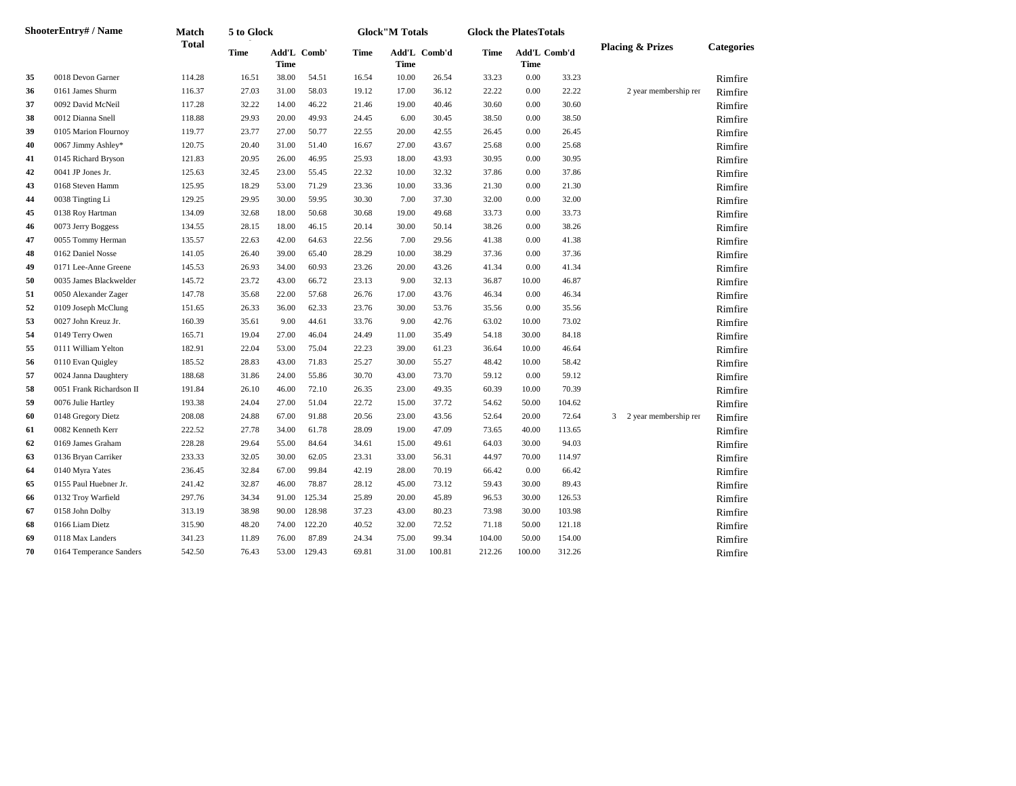|    | ShooterEntry# / Name     | <b>Match</b> | 5 to Glock  |             |             |             | <b>Glock</b> "M Totals |              | <b>Glock the PlatesTotals</b> |                             |        |                             |                   |
|----|--------------------------|--------------|-------------|-------------|-------------|-------------|------------------------|--------------|-------------------------------|-----------------------------|--------|-----------------------------|-------------------|
|    |                          | <b>Total</b> | <b>Time</b> | <b>Time</b> | Add'L Comb' | <b>Time</b> | Time                   | Add'L Comb'd | <b>Time</b>                   | Add'L Comb'd<br><b>Time</b> |        | <b>Placing &amp; Prizes</b> | <b>Categories</b> |
| 35 | 0018 Devon Garner        | 114.28       | 16.51       | 38.00       | 54.51       | 16.54       | 10.00                  | 26.54        | 33.23                         | $0.00\,$                    | 33.23  |                             | Rimfire           |
| 36 | 0161 James Shurm         | 116.37       | 27.03       | 31.00       | 58.03       | 19.12       | 17.00                  | 36.12        | 22.22                         | 0.00                        | 22.22  | 2 year membership rer       | Rimfire           |
| 37 | 0092 David McNeil        | 117.28       | 32.22       | 14.00       | 46.22       | 21.46       | 19.00                  | 40.46        | 30.60                         | 0.00                        | 30.60  |                             | Rimfire           |
| 38 | 0012 Dianna Snell        | 118.88       | 29.93       | 20.00       | 49.93       | 24.45       | 6.00                   | 30.45        | 38.50                         | 0.00                        | 38.50  |                             | Rimfire           |
| 39 | 0105 Marion Flournoy     | 119.77       | 23.77       | 27.00       | 50.77       | 22.55       | 20.00                  | 42.55        | 26.45                         | 0.00                        | 26.45  |                             | Rimfire           |
| 40 | 0067 Jimmy Ashley*       | 120.75       | 20.40       | 31.00       | 51.40       | 16.67       | 27.00                  | 43.67        | 25.68                         | 0.00                        | 25.68  |                             | Rimfire           |
| 41 | 0145 Richard Bryson      | 121.83       | 20.95       | 26.00       | 46.95       | 25.93       | 18.00                  | 43.93        | 30.95                         | 0.00                        | 30.95  |                             | Rimfire           |
| 42 | 0041 JP Jones Jr.        | 125.63       | 32.45       | 23.00       | 55.45       | 22.32       | 10.00                  | 32.32        | 37.86                         | 0.00                        | 37.86  |                             | Rimfire           |
| 43 | 0168 Steven Hamm         | 125.95       | 18.29       | 53.00       | 71.29       | 23.36       | 10.00                  | 33.36        | 21.30                         | 0.00                        | 21.30  |                             | Rimfire           |
| 44 | 0038 Tingting Li         | 129.25       | 29.95       | 30.00       | 59.95       | 30.30       | 7.00                   | 37.30        | 32.00                         | 0.00                        | 32.00  |                             | Rimfire           |
| 45 | 0138 Roy Hartman         | 134.09       | 32.68       | 18.00       | 50.68       | 30.68       | 19.00                  | 49.68        | 33.73                         | 0.00                        | 33.73  |                             | Rimfire           |
| 46 | 0073 Jerry Boggess       | 134.55       | 28.15       | 18.00       | 46.15       | 20.14       | 30.00                  | 50.14        | 38.26                         | 0.00                        | 38.26  |                             | Rimfire           |
| 47 | 0055 Tommy Herman        | 135.57       | 22.63       | 42.00       | 64.63       | 22.56       | 7.00                   | 29.56        | 41.38                         | 0.00                        | 41.38  |                             | Rimfire           |
| 48 | 0162 Daniel Nosse        | 141.05       | 26.40       | 39.00       | 65.40       | 28.29       | 10.00                  | 38.29        | 37.36                         | 0.00                        | 37.36  |                             | Rimfire           |
| 49 | 0171 Lee-Anne Greene     | 145.53       | 26.93       | 34.00       | 60.93       | 23.26       | 20.00                  | 43.26        | 41.34                         | 0.00                        | 41.34  |                             | Rimfire           |
| 50 | 0035 James Blackwelder   | 145.72       | 23.72       | 43.00       | 66.72       | 23.13       | 9.00                   | 32.13        | 36.87                         | 10.00                       | 46.87  |                             | Rimfire           |
| 51 | 0050 Alexander Zager     | 147.78       | 35.68       | 22.00       | 57.68       | 26.76       | 17.00                  | 43.76        | 46.34                         | 0.00                        | 46.34  |                             | Rimfire           |
| 52 | 0109 Joseph McClung      | 151.65       | 26.33       | 36.00       | 62.33       | 23.76       | 30.00                  | 53.76        | 35.56                         | 0.00                        | 35.56  |                             | Rimfire           |
| 53 | 0027 John Kreuz Jr.      | 160.39       | 35.61       | 9.00        | 44.61       | 33.76       | 9.00                   | 42.76        | 63.02                         | 10.00                       | 73.02  |                             | Rimfire           |
| 54 | 0149 Terry Owen          | 165.71       | 19.04       | 27.00       | 46.04       | 24.49       | 11.00                  | 35.49        | 54.18                         | 30.00                       | 84.18  |                             | Rimfire           |
| 55 | 0111 William Yelton      | 182.91       | 22.04       | 53.00       | 75.04       | 22.23       | 39.00                  | 61.23        | 36.64                         | 10.00                       | 46.64  |                             | Rimfire           |
| 56 | 0110 Evan Quigley        | 185.52       | 28.83       | 43.00       | 71.83       | 25.27       | 30.00                  | 55.27        | 48.42                         | 10.00                       | 58.42  |                             | Rimfire           |
| 57 | 0024 Janna Daughtery     | 188.68       | 31.86       | 24.00       | 55.86       | 30.70       | 43.00                  | 73.70        | 59.12                         | 0.00                        | 59.12  |                             | Rimfire           |
| 58 | 0051 Frank Richardson II | 191.84       | 26.10       | 46.00       | 72.10       | 26.35       | 23.00                  | 49.35        | 60.39                         | 10.00                       | 70.39  |                             | Rimfire           |
| 59 | 0076 Julie Hartley       | 193.38       | 24.04       | 27.00       | 51.04       | 22.72       | 15.00                  | 37.72        | 54.62                         | 50.00                       | 104.62 |                             | Rimfire           |
| 60 | 0148 Gregory Dietz       | 208.08       | 24.88       | 67.00       | 91.88       | 20.56       | 23.00                  | 43.56        | 52.64                         | 20.00                       | 72.64  | 3 2 year membership rer     | Rimfire           |
| 61 | 0082 Kenneth Kerr        | 222.52       | 27.78       | 34.00       | 61.78       | 28.09       | 19.00                  | 47.09        | 73.65                         | 40.00                       | 113.65 |                             | Rimfire           |
| 62 | 0169 James Graham        | 228.28       | 29.64       | 55.00       | 84.64       | 34.61       | 15.00                  | 49.61        | 64.03                         | 30.00                       | 94.03  |                             | Rimfire           |
| 63 | 0136 Bryan Carriker      | 233.33       | 32.05       | 30.00       | 62.05       | 23.31       | 33.00                  | 56.31        | 44.97                         | 70.00                       | 114.97 |                             | Rimfire           |
| 64 | 0140 Myra Yates          | 236.45       | 32.84       | 67.00       | 99.84       | 42.19       | 28.00                  | 70.19        | 66.42                         | 0.00                        | 66.42  |                             | Rimfire           |
| 65 | 0155 Paul Huebner Jr.    | 241.42       | 32.87       | 46.00       | 78.87       | 28.12       | 45.00                  | 73.12        | 59.43                         | 30.00                       | 89.43  |                             | Rimfire           |
| 66 | 0132 Troy Warfield       | 297.76       | 34.34       | 91.00       | 125.34      | 25.89       | 20.00                  | 45.89        | 96.53                         | 30.00                       | 126.53 |                             | Rimfire           |
| 67 | 0158 John Dolby          | 313.19       | 38.98       | 90.00       | 128.98      | 37.23       | 43.00                  | 80.23        | 73.98                         | 30.00                       | 103.98 |                             | Rimfire           |
| 68 | 0166 Liam Dietz          | 315.90       | 48.20       | 74.00       | 122.20      | 40.52       | 32.00                  | 72.52        | 71.18                         | 50.00                       | 121.18 |                             | Rimfire           |
| 69 | 0118 Max Landers         | 341.23       | 11.89       | 76.00       | 87.89       | 24.34       | 75.00                  | 99.34        | 104.00                        | 50.00                       | 154.00 |                             | Rimfire           |
| 70 | 0164 Temperance Sanders  | 542.50       | 76.43       | 53.00       | 129.43      | 69.81       | 31.00                  | 100.81       | 212.26                        | 100.00                      | 312.26 |                             | Rimfire           |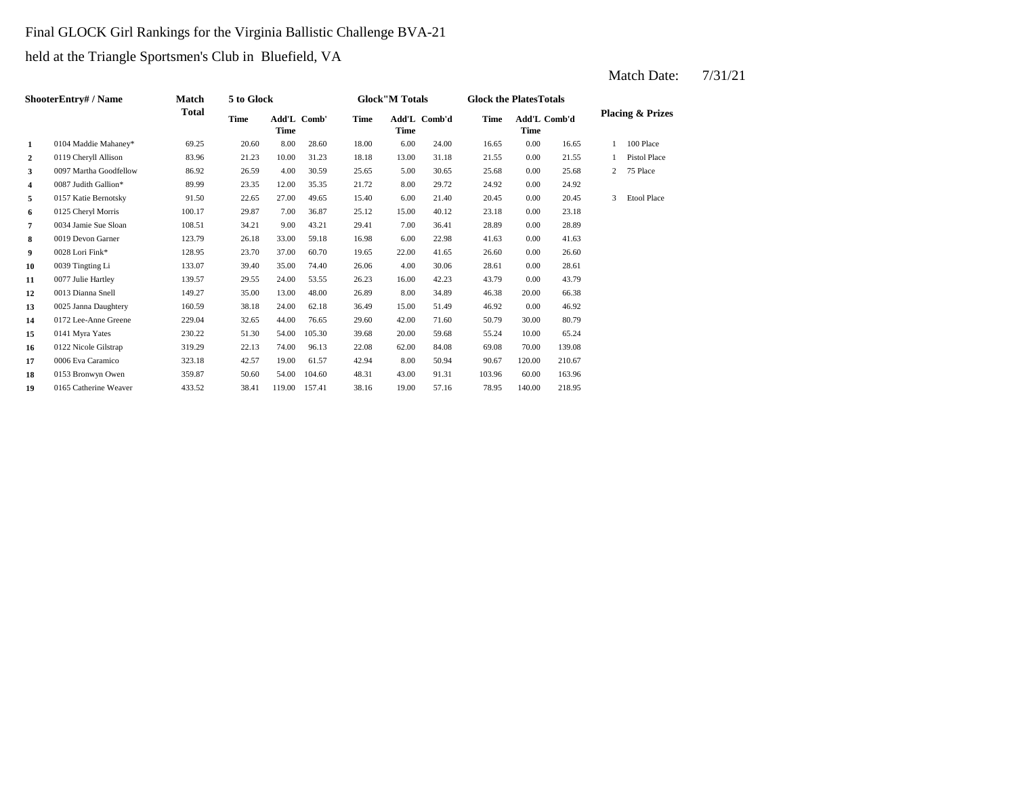## Final GLOCK Girl Rankings for the Virginia Ballistic Challenge BVA-21

held at the Triangle Sportsmen's Club in Bluefield, VA

|                         | ShooterEntry# / Name   | <b>Match</b> | 5 to Glock  |                            |        |             | <b>Glock</b> "M Totals |              | <b>Glock the PlatesTotals</b> |                             |        |   |                             |
|-------------------------|------------------------|--------------|-------------|----------------------------|--------|-------------|------------------------|--------------|-------------------------------|-----------------------------|--------|---|-----------------------------|
|                         |                        | Total        | <b>Time</b> | Add'L Comb'<br><b>Time</b> |        | <b>Time</b> | <b>Time</b>            | Add'L Comb'd | <b>Time</b>                   | Add'L Comb'd<br><b>Time</b> |        |   | <b>Placing &amp; Prizes</b> |
| 1                       | 0104 Maddie Mahaney*   | 69.25        | 20.60       | 8.00                       | 28.60  | 18.00       | 6.00                   | 24.00        | 16.65                         | 0.00                        | 16.65  |   | 100 Place                   |
| $\overline{2}$          | 0119 Cheryll Allison   | 83.96        | 21.23       | 10.00                      | 31.23  | 18.18       | 13.00                  | 31.18        | 21.55                         | 0.00                        | 21.55  |   | <b>Pistol Place</b>         |
| 3                       | 0097 Martha Goodfellow | 86.92        | 26.59       | 4.00                       | 30.59  | 25.65       | 5.00                   | 30.65        | 25.68                         | 0.00                        | 25.68  | 2 | 75 Place                    |
| $\overline{\mathbf{4}}$ | 0087 Judith Gallion*   | 89.99        | 23.35       | 12.00                      | 35.35  | 21.72       | 8.00                   | 29.72        | 24.92                         | 0.00                        | 24.92  |   |                             |
| 5                       | 0157 Katie Bernotsky   | 91.50        | 22.65       | 27.00                      | 49.65  | 15.40       | 6.00                   | 21.40        | 20.45                         | 0.00                        | 20.45  | 3 | <b>Etool Place</b>          |
| 6                       | 0125 Cheryl Morris     | 100.17       | 29.87       | 7.00                       | 36.87  | 25.12       | 15.00                  | 40.12        | 23.18                         | 0.00                        | 23.18  |   |                             |
| 7                       | 0034 Jamie Sue Sloan   | 108.51       | 34.21       | 9.00                       | 43.21  | 29.41       | 7.00                   | 36.41        | 28.89                         | 0.00                        | 28.89  |   |                             |
| 8                       | 0019 Devon Garner      | 123.79       | 26.18       | 33.00                      | 59.18  | 16.98       | 6.00                   | 22.98        | 41.63                         | 0.00                        | 41.63  |   |                             |
| 9                       | 0028 Lori Fink*        | 128.95       | 23.70       | 37.00                      | 60.70  | 19.65       | 22.00                  | 41.65        | 26.60                         | 0.00                        | 26.60  |   |                             |
| 10                      | 0039 Tingting Li       | 133.07       | 39.40       | 35.00                      | 74.40  | 26.06       | 4.00                   | 30.06        | 28.61                         | 0.00                        | 28.61  |   |                             |
| 11                      | 0077 Julie Hartley     | 139.57       | 29.55       | 24.00                      | 53.55  | 26.23       | 16.00                  | 42.23        | 43.79                         | 0.00                        | 43.79  |   |                             |
| 12                      | 0013 Dianna Snell      | 149.27       | 35.00       | 13.00                      | 48.00  | 26.89       | 8.00                   | 34.89        | 46.38                         | 20.00                       | 66.38  |   |                             |
| 13                      | 0025 Janna Daughtery   | 160.59       | 38.18       | 24.00                      | 62.18  | 36.49       | 15.00                  | 51.49        | 46.92                         | 0.00                        | 46.92  |   |                             |
| 14                      | 0172 Lee-Anne Greene   | 229.04       | 32.65       | 44.00                      | 76.65  | 29.60       | 42.00                  | 71.60        | 50.79                         | 30.00                       | 80.79  |   |                             |
| 15                      | 0141 Myra Yates        | 230.22       | 51.30       | 54.00                      | 105.30 | 39.68       | 20.00                  | 59.68        | 55.24                         | 10.00                       | 65.24  |   |                             |
| 16                      | 0122 Nicole Gilstrap   | 319.29       | 22.13       | 74.00                      | 96.13  | 22.08       | 62.00                  | 84.08        | 69.08                         | 70.00                       | 139.08 |   |                             |
| 17                      | 0006 Eva Caramico      | 323.18       | 42.57       | 19.00                      | 61.57  | 42.94       | 8.00                   | 50.94        | 90.67                         | 120.00                      | 210.67 |   |                             |
| 18                      | 0153 Bronwyn Owen      | 359.87       | 50.60       | 54.00                      | 104.60 | 48.31       | 43.00                  | 91.31        | 103.96                        | 60.00                       | 163.96 |   |                             |
| 19                      | 0165 Catherine Weaver  | 433.52       | 38.41       | 119.00                     | 157.41 | 38.16       | 19.00                  | 57.16        | 78.95                         | 140.00                      | 218.95 |   |                             |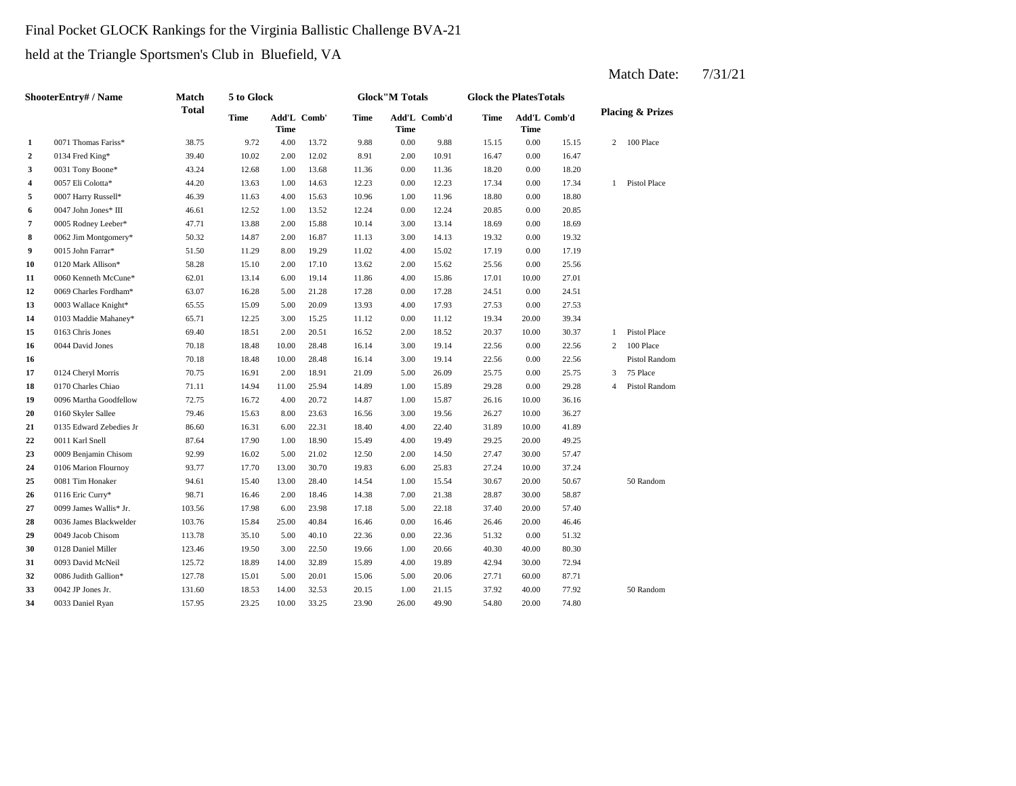## Final Pocket GLOCK Rankings for the Virginia Ballistic Challenge BVA-21

held at the Triangle Sportsmen's Club in Bluefield, VA

|              | ShooterEntry# / Name    | <b>Match</b> | 5 to Glock  |       |             |       | <b>Glock</b> "M Totals |              | <b>Glock the PlatesTotals</b> |                             |       |                |                             |
|--------------|-------------------------|--------------|-------------|-------|-------------|-------|------------------------|--------------|-------------------------------|-----------------------------|-------|----------------|-----------------------------|
|              |                         | <b>Total</b> | <b>Time</b> | Time  | Add'L Comb' | Time  | <b>Time</b>            | Add'L Comb'd | <b>Time</b>                   | Add'L Comb'd<br><b>Time</b> |       |                | <b>Placing &amp; Prizes</b> |
| $\mathbf{1}$ | 0071 Thomas Fariss*     | 38.75        | 9.72        | 4.00  | 13.72       | 9.88  | 0.00                   | 9.88         | 15.15                         | 0.00                        | 15.15 |                | 2 100 Place                 |
| $\mathbf{2}$ | 0134 Fred King*         | 39.40        | 10.02       | 2.00  | 12.02       | 8.91  | 2.00                   | 10.91        | 16.47                         | 0.00                        | 16.47 |                |                             |
| 3            | 0031 Tony Boone*        | 43.24        | 12.68       | 1.00  | 13.68       | 11.36 | 0.00                   | 11.36        | 18.20                         | 0.00                        | 18.20 |                |                             |
| 4            | 0057 Eli Colotta*       | 44.20        | 13.63       | 1.00  | 14.63       | 12.23 | 0.00                   | 12.23        | 17.34                         | 0.00                        | 17.34 |                | 1 Pistol Place              |
| 5            | 0007 Harry Russell*     | 46.39        | 11.63       | 4.00  | 15.63       | 10.96 | 1.00                   | 11.96        | 18.80                         | 0.00                        | 18.80 |                |                             |
| 6            | 0047 John Jones* III    | 46.61        | 12.52       | 1.00  | 13.52       | 12.24 | 0.00                   | 12.24        | 20.85                         | 0.00                        | 20.85 |                |                             |
| 7            | 0005 Rodney Leeber*     | 47.71        | 13.88       | 2.00  | 15.88       | 10.14 | 3.00                   | 13.14        | 18.69                         | 0.00                        | 18.69 |                |                             |
| 8            | 0062 Jim Montgomery*    | 50.32        | 14.87       | 2.00  | 16.87       | 11.13 | 3.00                   | 14.13        | 19.32                         | 0.00                        | 19.32 |                |                             |
| 9            | 0015 John Farrar*       | 51.50        | 11.29       | 8.00  | 19.29       | 11.02 | 4.00                   | 15.02        | 17.19                         | 0.00                        | 17.19 |                |                             |
| 10           | 0120 Mark Allison*      | 58.28        | 15.10       | 2.00  | 17.10       | 13.62 | 2.00                   | 15.62        | 25.56                         | 0.00                        | 25.56 |                |                             |
| 11           | 0060 Kenneth McCune*    | 62.01        | 13.14       | 6.00  | 19.14       | 11.86 | 4.00                   | 15.86        | 17.01                         | 10.00                       | 27.01 |                |                             |
| 12           | 0069 Charles Fordham*   | 63.07        | 16.28       | 5.00  | 21.28       | 17.28 | 0.00                   | 17.28        | 24.51                         | 0.00                        | 24.51 |                |                             |
| 13           | 0003 Wallace Knight*    | 65.55        | 15.09       | 5.00  | 20.09       | 13.93 | 4.00                   | 17.93        | 27.53                         | 0.00                        | 27.53 |                |                             |
| 14           | 0103 Maddie Mahaney*    | 65.71        | 12.25       | 3.00  | 15.25       | 11.12 | 0.00                   | 11.12        | 19.34                         | 20.00                       | 39.34 |                |                             |
| 15           | 0163 Chris Jones        | 69.40        | 18.51       | 2.00  | 20.51       | 16.52 | 2.00                   | 18.52        | 20.37                         | 10.00                       | 30.37 | $\mathbf{1}$   | Pistol Place                |
| 16           | 0044 David Jones        | 70.18        | 18.48       | 10.00 | 28.48       | 16.14 | 3.00                   | 19.14        | 22.56                         | 0.00                        | 22.56 | $\overline{2}$ | 100 Place                   |
| 16           |                         | 70.18        | 18.48       | 10.00 | 28.48       | 16.14 | 3.00                   | 19.14        | 22.56                         | 0.00                        | 22.56 |                | Pistol Random               |
| 17           | 0124 Cheryl Morris      | 70.75        | 16.91       | 2.00  | 18.91       | 21.09 | 5.00                   | 26.09        | 25.75                         | 0.00                        | 25.75 | 3              | 75 Place                    |
| 18           | 0170 Charles Chiao      | 71.11        | 14.94       | 11.00 | 25.94       | 14.89 | 1.00                   | 15.89        | 29.28                         | 0.00                        | 29.28 | 4              | Pistol Random               |
| 19           | 0096 Martha Goodfellow  | 72.75        | 16.72       | 4.00  | 20.72       | 14.87 | 1.00                   | 15.87        | 26.16                         | 10.00                       | 36.16 |                |                             |
| 20           | 0160 Skyler Sallee      | 79.46        | 15.63       | 8.00  | 23.63       | 16.56 | 3.00                   | 19.56        | 26.27                         | 10.00                       | 36.27 |                |                             |
| 21           | 0135 Edward Zebedies Jr | 86.60        | 16.31       | 6.00  | 22.31       | 18.40 | 4.00                   | 22.40        | 31.89                         | 10.00                       | 41.89 |                |                             |
| 22           | 0011 Karl Snell         | 87.64        | 17.90       | 1.00  | 18.90       | 15.49 | 4.00                   | 19.49        | 29.25                         | 20.00                       | 49.25 |                |                             |
| 23           | 0009 Benjamin Chisom    | 92.99        | 16.02       | 5.00  | 21.02       | 12.50 | 2.00                   | 14.50        | 27.47                         | 30.00                       | 57.47 |                |                             |
| 24           | 0106 Marion Flournoy    | 93.77        | 17.70       | 13.00 | 30.70       | 19.83 | 6.00                   | 25.83        | 27.24                         | 10.00                       | 37.24 |                |                             |
| 25           | 0081 Tim Honaker        | 94.61        | 15.40       | 13.00 | 28.40       | 14.54 | 1.00                   | 15.54        | 30.67                         | 20.00                       | 50.67 |                | 50 Random                   |
| 26           | 0116 Eric Curry*        | 98.71        | 16.46       | 2.00  | 18.46       | 14.38 | 7.00                   | 21.38        | 28.87                         | 30.00                       | 58.87 |                |                             |
| 27           | 0099 James Wallis* Jr.  | 103.56       | 17.98       | 6.00  | 23.98       | 17.18 | 5.00                   | 22.18        | 37.40                         | 20.00                       | 57.40 |                |                             |
| 28           | 0036 James Blackwelder  | 103.76       | 15.84       | 25.00 | 40.84       | 16.46 | 0.00                   | 16.46        | 26.46                         | 20.00                       | 46.46 |                |                             |
| 29           | 0049 Jacob Chisom       | 113.78       | 35.10       | 5.00  | 40.10       | 22.36 | 0.00                   | 22.36        | 51.32                         | 0.00                        | 51.32 |                |                             |
| 30           | 0128 Daniel Miller      | 123.46       | 19.50       | 3.00  | 22.50       | 19.66 | 1.00                   | 20.66        | 40.30                         | 40.00                       | 80.30 |                |                             |
| 31           | 0093 David McNeil       | 125.72       | 18.89       | 14.00 | 32.89       | 15.89 | 4.00                   | 19.89        | 42.94                         | 30.00                       | 72.94 |                |                             |
| 32           | 0086 Judith Gallion*    | 127.78       | 15.01       | 5.00  | 20.01       | 15.06 | 5.00                   | 20.06        | 27.71                         | 60.00                       | 87.71 |                |                             |
| 33           | 0042 JP Jones Jr.       | 131.60       | 18.53       | 14.00 | 32.53       | 20.15 | 1.00                   | 21.15        | 37.92                         | 40.00                       | 77.92 |                | 50 Random                   |
| 34           | 0033 Daniel Ryan        | 157.95       | 23.25       | 10.00 | 33.25       | 23.90 | 26.00                  | 49.90        | 54.80                         | 20.00                       | 74.80 |                |                             |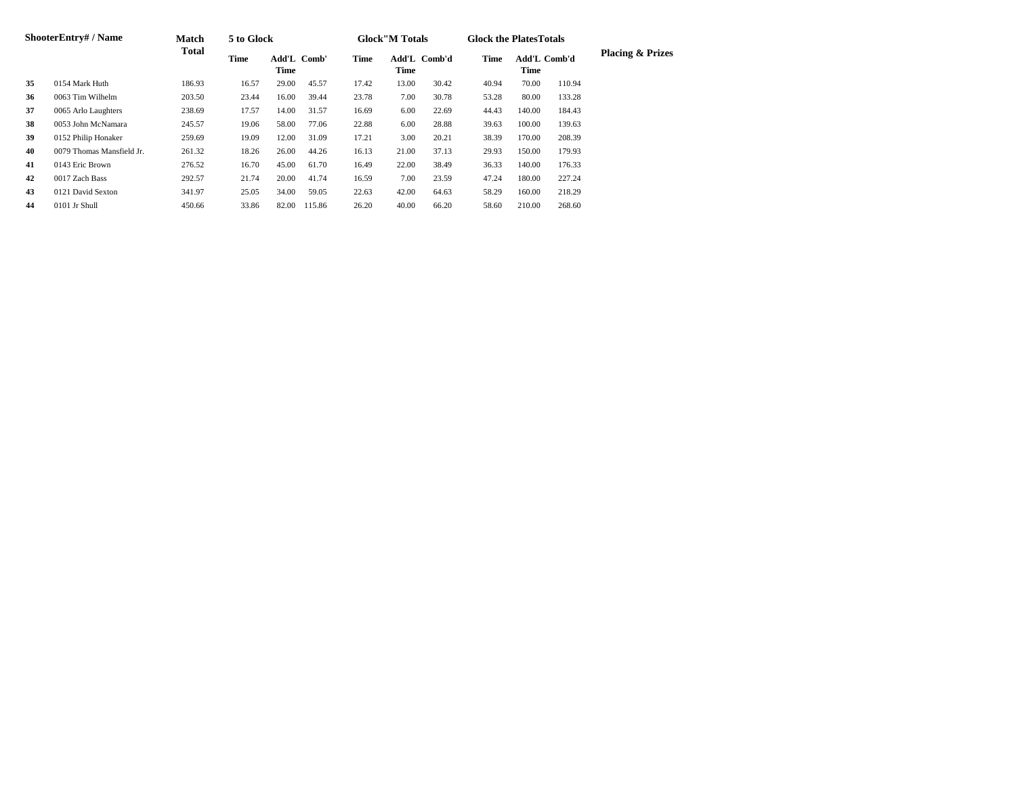|    | <b>ShooterEntry#/Name</b> | <b>Match</b> | 5 to Glock  |                            |        |             | <b>Glock</b> "M Totals |              | <b>Glock the PlatesTotals</b> |                      |        |                             |
|----|---------------------------|--------------|-------------|----------------------------|--------|-------------|------------------------|--------------|-------------------------------|----------------------|--------|-----------------------------|
|    |                           | <b>Total</b> | <b>Time</b> | Add'L Comb'<br><b>Time</b> |        | <b>Time</b> | <b>Time</b>            | Add'L Comb'd | <b>Time</b>                   | Add'L Comb'd<br>Time |        | <b>Placing &amp; Prizes</b> |
| 35 | 0154 Mark Huth            | 186.93       | 16.57       | 29.00                      | 45.57  | 17.42       | 13.00                  | 30.42        | 40.94                         | 70.00                | 110.94 |                             |
| 36 | 0063 Tim Wilhelm          | 203.50       | 23.44       | 16.00                      | 39.44  | 23.78       | 7.00                   | 30.78        | 53.28                         | 80.00                | 133.28 |                             |
| 37 | 0065 Arlo Laughters       | 238.69       | 17.57       | 14.00                      | 31.57  | 16.69       | 6.00                   | 22.69        | 44.43                         | 140.00               | 184.43 |                             |
| 38 | 0053 John McNamara        | 245.57       | 19.06       | 58.00                      | 77.06  | 22.88       | 6.00                   | 28.88        | 39.63                         | 100.00               | 139.63 |                             |
| 39 | 0152 Philip Honaker       | 259.69       | 19.09       | 12.00                      | 31.09  | 17.21       | 3.00                   | 20.21        | 38.39                         | 170.00               | 208.39 |                             |
| 40 | 0079 Thomas Mansfield Jr. | 261.32       | 18.26       | 26.00                      | 44.26  | 16.13       | 21.00                  | 37.13        | 29.93                         | 150.00               | 179.93 |                             |
| 41 | 0143 Eric Brown           | 276.52       | 16.70       | 45.00                      | 61.70  | 16.49       | 22.00                  | 38.49        | 36.33                         | 140.00               | 176.33 |                             |
| 42 | 0017 Zach Bass            | 292.57       | 21.74       | 20.00                      | 41.74  | 16.59       | 7.00                   | 23.59        | 47.24                         | 180.00               | 227.24 |                             |
| 43 | 0121 David Sexton         | 341.97       | 25.05       | 34.00                      | 59.05  | 22.63       | 42.00                  | 64.63        | 58.29                         | 160.00               | 218.29 |                             |
| 44 | 0101 Jr Shull             | 450.66       | 33.86       | 82.00                      | 115.86 | 26.20       | 40.00                  | 66.20        | 58.60                         | 210.00               | 268.60 |                             |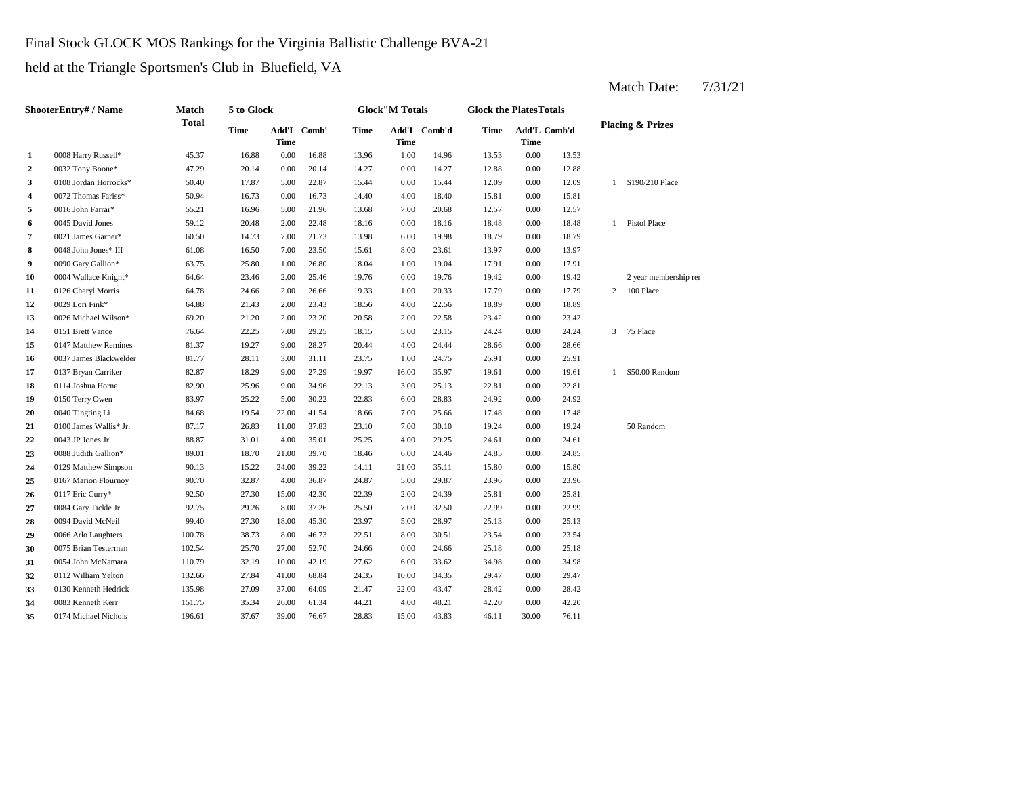## Final Stock GLOCK MOS Rankings for the Virginia Ballistic Challenge BVA-21

held at the Triangle Sportsmen's Club in Bluefield, VA

|                         | <b>ShooterEntry# / Name</b> | <b>Match</b> | 5 to Glock  |             |             |             | <b>Glock</b> "M Totals |              | <b>Glock the PlatesTotals</b> |                      |       |                |                             |
|-------------------------|-----------------------------|--------------|-------------|-------------|-------------|-------------|------------------------|--------------|-------------------------------|----------------------|-------|----------------|-----------------------------|
|                         |                             | <b>Total</b> | <b>Time</b> | <b>Time</b> | Add'L Comb' | <b>Time</b> | <b>Time</b>            | Add'L Comb'd | <b>Time</b>                   | Add'L Comb'd<br>Time |       |                | <b>Placing &amp; Prizes</b> |
| $\mathbf{1}$            | 0008 Harry Russell*         | 45.37        | 16.88       | 0.00        | 16.88       | 13.96       | 1.00                   | 14.96        | 13.53                         | 0.00                 | 13.53 |                |                             |
| $\mathbf{2}$            | 0032 Tony Boone*            | 47.29        | 20.14       | 0.00        | 20.14       | 14.27       | 0.00                   | 14.27        | 12.88                         | 0.00                 | 12.88 |                |                             |
| $\mathbf{3}$            | 0108 Jordan Horrocks*       | 50.40        | 17.87       | 5.00        | 22.87       | 15.44       | 0.00                   | 15.44        | 12.09                         | 0.00                 | 12.09 | 1              | \$190/210 Place             |
| $\overline{\mathbf{4}}$ | 0072 Thomas Fariss*         | 50.94        | 16.73       | 0.00        | 16.73       | 14.40       | 4.00                   | 18.40        | 15.81                         | 0.00                 | 15.81 |                |                             |
| 5                       | 0016 John Farrar*           | 55.21        | 16.96       | 5.00        | 21.96       | 13.68       | 7.00                   | 20.68        | 12.57                         | 0.00                 | 12.57 |                |                             |
| 6                       | 0045 David Jones            | 59.12        | 20.48       | 2.00        | 22.48       | 18.16       | 0.00                   | 18.16        | 18.48                         | 0.00                 | 18.48 |                | 1 Pistol Place              |
| 7                       | 0021 James Garner*          | 60.50        | 14.73       | 7.00        | 21.73       | 13.98       | 6.00                   | 19.98        | 18.79                         | 0.00                 | 18.79 |                |                             |
| 8                       | 0048 John Jones* III        | 61.08        | 16.50       | 7.00        | 23.50       | 15.61       | 8.00                   | 23.61        | 13.97                         | 0.00                 | 13.97 |                |                             |
| 9                       | 0090 Gary Gallion*          | 63.75        | 25.80       | 1.00        | 26.80       | 18.04       | 1.00                   | 19.04        | 17.91                         | 0.00                 | 17.91 |                |                             |
| 10                      | 0004 Wallace Knight*        | 64.64        | 23.46       | 2.00        | 25.46       | 19.76       | $0.00\,$               | 19.76        | 19.42                         | 0.00                 | 19.42 |                | 2 year membership rer       |
| 11                      | 0126 Cheryl Morris          | 64.78        | 24.66       | 2.00        | 26.66       | 19.33       | 1.00                   | 20.33        | 17.79                         | 0.00                 | 17.79 | $2^{\circ}$    | 100 Place                   |
| 12                      | 0029 Lori Fink*             | 64.88        | 21.43       | 2.00        | 23.43       | 18.56       | $4.00\,$               | 22.56        | 18.89                         | 0.00                 | 18.89 |                |                             |
| 13                      | 0026 Michael Wilson*        | 69.20        | 21.20       | 2.00        | 23.20       | 20.58       | 2.00                   | 22.58        | 23.42                         | 0.00                 | 23.42 |                |                             |
| 14                      | 0151 Brett Vance            | 76.64        | 22.25       | 7.00        | 29.25       | 18.15       | 5.00                   | 23.15        | 24.24                         | 0.00                 | 24.24 | 3 <sup>7</sup> | 75 Place                    |
| 15                      | 0147 Matthew Remines        | 81.37        | 19.27       | 9.00        | 28.27       | 20.44       | 4.00                   | 24.44        | 28.66                         | 0.00                 | 28.66 |                |                             |
| 16                      | 0037 James Blackwelder      | 81.77        | 28.11       | 3.00        | 31.11       | 23.75       | 1.00                   | 24.75        | 25.91                         | 0.00                 | 25.91 |                |                             |
| 17                      | 0137 Bryan Carriker         | 82.87        | 18.29       | 9.00        | 27.29       | 19.97       | 16.00                  | 35.97        | 19.61                         | 0.00                 | 19.61 | $\mathbf{1}$   | \$50.00 Random              |
| 18                      | 0114 Joshua Horne           | 82.90        | 25.96       | 9.00        | 34.96       | 22.13       | 3.00                   | 25.13        | 22.81                         | 0.00                 | 22.81 |                |                             |
| 19                      | 0150 Terry Owen             | 83.97        | 25.22       | 5.00        | 30.22       | 22.83       | 6.00                   | 28.83        | 24.92                         | 0.00                 | 24.92 |                |                             |
| 20                      | 0040 Tingting Li            | 84.68        | 19.54       | 22.00       | 41.54       | 18.66       | 7.00                   | 25.66        | 17.48                         | 0.00                 | 17.48 |                |                             |
| 21                      | 0100 James Wallis* Jr.      | 87.17        | 26.83       | 11.00       | 37.83       | 23.10       | 7.00                   | 30.10        | 19.24                         | 0.00                 | 19.24 |                | 50 Random                   |
| 22                      | 0043 JP Jones Jr.           | 88.87        | 31.01       | 4.00        | 35.01       | 25.25       | 4.00                   | 29.25        | 24.61                         | 0.00                 | 24.61 |                |                             |
| 23                      | 0088 Judith Gallion*        | 89.01        | 18.70       | 21.00       | 39.70       | 18.46       | 6.00                   | 24.46        | 24.85                         | 0.00                 | 24.85 |                |                             |
| 24                      | 0129 Matthew Simpson        | 90.13        | 15.22       | 24.00       | 39.22       | 14.11       | 21.00                  | 35.11        | 15.80                         | 0.00                 | 15.80 |                |                             |
| 25                      | 0167 Marion Flournoy        | 90.70        | 32.87       | 4.00        | 36.87       | 24.87       | 5.00                   | 29.87        | 23.96                         | 0.00                 | 23.96 |                |                             |
| 26                      | 0117 Eric Curry*            | 92.50        | 27.30       | 15.00       | 42.30       | 22.39       | 2.00                   | 24.39        | 25.81                         | 0.00                 | 25.81 |                |                             |
| 27                      | 0084 Gary Tickle Jr.        | 92.75        | 29.26       | 8.00        | 37.26       | 25.50       | 7.00                   | 32.50        | 22.99                         | 0.00                 | 22.99 |                |                             |
| 28                      | 0094 David McNeil           | 99.40        | 27.30       | 18.00       | 45.30       | 23.97       | 5.00                   | 28.97        | 25.13                         | 0.00                 | 25.13 |                |                             |
| 29                      | 0066 Arlo Laughters         | 100.78       | 38.73       | 8.00        | 46.73       | 22.51       | 8.00                   | 30.51        | 23.54                         | 0.00                 | 23.54 |                |                             |
| 30                      | 0075 Brian Testerman        | 102.54       | 25.70       | 27.00       | 52.70       | 24.66       | 0.00                   | 24.66        | 25.18                         | 0.00                 | 25.18 |                |                             |
| 31                      | 0054 John McNamara          | 110.79       | 32.19       | 10.00       | 42.19       | 27.62       | 6.00                   | 33.62        | 34.98                         | 0.00                 | 34.98 |                |                             |
| 32                      | 0112 William Yelton         | 132.66       | 27.84       | 41.00       | 68.84       | 24.35       | 10.00                  | 34.35        | 29.47                         | 0.00                 | 29.47 |                |                             |
| 33                      | 0130 Kenneth Hedrick        | 135.98       | 27.09       | 37.00       | 64.09       | 21.47       | 22.00                  | 43.47        | 28.42                         | 0.00                 | 28.42 |                |                             |
| 34                      | 0083 Kenneth Kerr           | 151.75       | 35.34       | 26.00       | 61.34       | 44.21       | 4.00                   | 48.21        | 42.20                         | 0.00                 | 42.20 |                |                             |
| 35                      | 0174 Michael Nichols        | 196.61       | 37.67       | 39.00       | 76.67       | 28.83       | 15.00                  | 43.83        | 46.11                         | 30.00                | 76.11 |                |                             |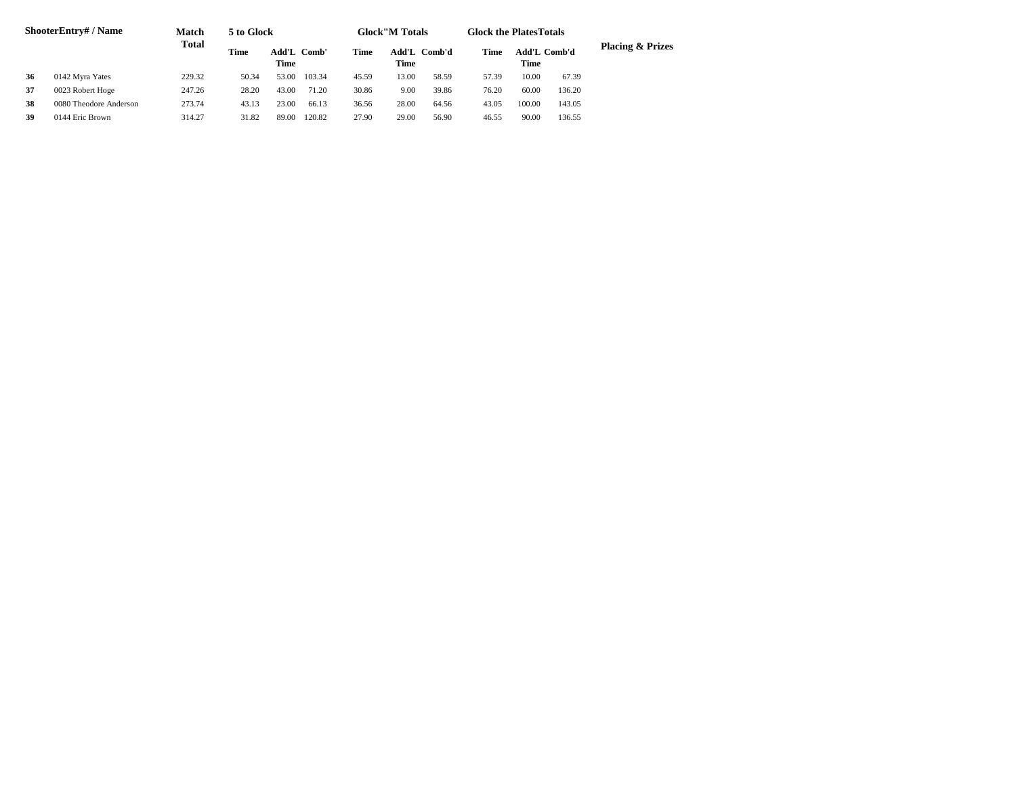|    | <b>ShooterEntry#/Name</b> | <b>Match</b> | 5 to Glock  |                            |        |       | <b>Glock</b> "M Totals |       | <b>Glock the Plates Totals</b> |                             |        |                             |
|----|---------------------------|--------------|-------------|----------------------------|--------|-------|------------------------|-------|--------------------------------|-----------------------------|--------|-----------------------------|
|    |                           | <b>Total</b> | <b>Time</b> | Add'L Comb'<br><b>Time</b> |        | Time  | Add'L Comb'd<br>Time   |       | Time                           | <b>Add'L Comb'd</b><br>Time |        | <b>Placing &amp; Prizes</b> |
| 36 | 0142 Myra Yates           | 229.32       | 50.34       | 53.00                      | 103.34 | 45.59 | 13.00                  | 58.59 | 57.39                          | 10.00                       | 67.39  |                             |
| 37 | 0023 Robert Hoge          | 247.26       | 28.20       | 43.00                      | 71.20  | 30.86 | 9.00                   | 39.86 | 76.20                          | 60.00                       | 136.20 |                             |
| 38 | 0080 Theodore Anderson    | 273.74       | 43.13       | 23.00                      | 66.13  | 36.56 | 28.00                  | 64.56 | 43.05                          | 100.00                      | 143.05 |                             |
| 39 | 0144 Eric Brown           | 314.27       | 31.82       | 89.00                      | 120.82 | 27.90 | 29.00                  | 56.90 | 46.55                          | 90.00                       | 136.55 |                             |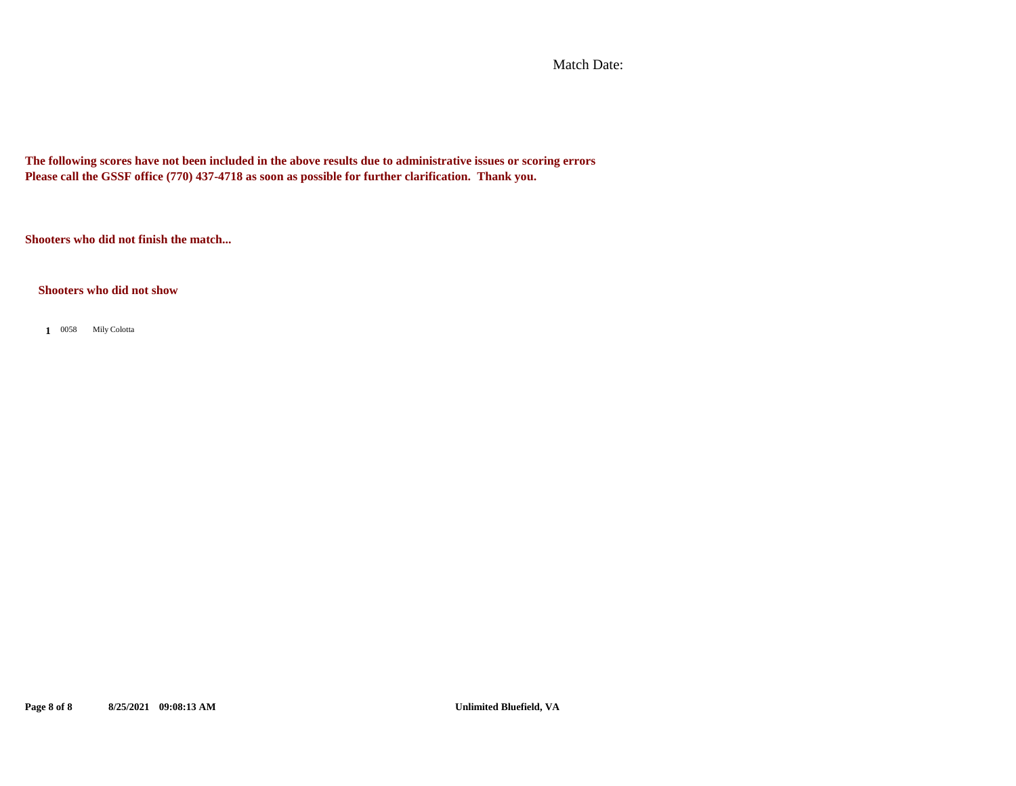Match Date:

**The following scores have not been included in the above results due to administrative issues or scoring errors Please call the GSSF office (770) 437-4718 as soon as possible for further clarification. Thank you.**

**Shooters who did not finish the match...**

**Shooters who did not show**

0058 Mily Colotta **1**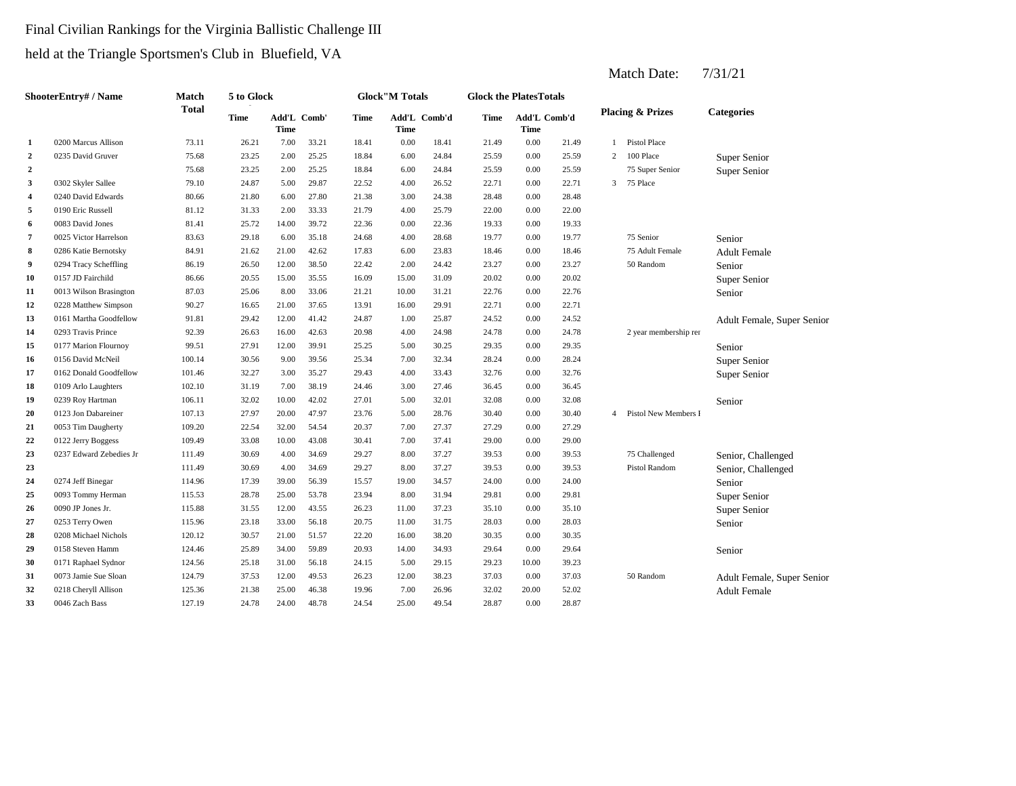# Final Civilian Rankings for the Virginia Ballistic Challenge III held at the Triangle Sportsmen's Club in Bluefield, VA

|                  | <b>ShooterEntry#/Name</b> | <b>Match</b> | 5 to Glock  |                            |       |             | <b>Glock</b> "M Totals |              | <b>Glock the PlatesTotals</b> |                             |       |                |                             |                            |
|------------------|---------------------------|--------------|-------------|----------------------------|-------|-------------|------------------------|--------------|-------------------------------|-----------------------------|-------|----------------|-----------------------------|----------------------------|
|                  |                           | <b>Total</b> | <b>Time</b> | Add'L Comb'<br><b>Time</b> |       | <b>Time</b> | <b>Time</b>            | Add'L Comb'd | <b>Time</b>                   | Add'L Comb'd<br><b>Time</b> |       |                | <b>Placing &amp; Prizes</b> | <b>Categories</b>          |
| $\mathbf{1}$     | 0200 Marcus Allison       | 73.11        | 26.21       | 7.00                       | 33.21 | 18.41       | $0.00\,$               | 18.41        | 21.49                         | 0.00                        | 21.49 | $\mathbf{1}$   | <b>Pistol Place</b>         |                            |
| $\boldsymbol{2}$ | 0235 David Gruver         | 75.68        | 23.25       | 2.00                       | 25.25 | 18.84       | 6.00                   | 24.84        | 25.59                         | 0.00                        | 25.59 | 2              | 100 Place                   | Super Senior               |
| $\boldsymbol{2}$ |                           | 75.68        | 23.25       | 2.00                       | 25.25 | 18.84       | 6.00                   | 24.84        | 25.59                         | 0.00                        | 25.59 |                | 75 Super Senior             | Super Senior               |
| 3                | 0302 Skyler Sallee        | 79.10        | 24.87       | 5.00                       | 29.87 | 22.52       | 4.00                   | 26.52        | 22.71                         | 0.00                        | 22.71 | 3              | 75 Place                    |                            |
| 4                | 0240 David Edwards        | 80.66        | 21.80       | 6.00                       | 27.80 | 21.38       | 3.00                   | 24.38        | 28.48                         | 0.00                        | 28.48 |                |                             |                            |
| 5                | 0190 Eric Russell         | 81.12        | 31.33       | 2.00                       | 33.33 | 21.79       | 4.00                   | 25.79        | 22.00                         | 0.00                        | 22.00 |                |                             |                            |
| 6                | 0083 David Jones          | 81.41        | 25.72       | 14.00                      | 39.72 | 22.36       | 0.00                   | 22.36        | 19.33                         | 0.00                        | 19.33 |                |                             |                            |
| 7                | 0025 Victor Harrelson     | 83.63        | 29.18       | 6.00                       | 35.18 | 24.68       | 4.00                   | 28.68        | 19.77                         | 0.00                        | 19.77 |                | 75 Senior                   | Senior                     |
| 8                | 0286 Katie Bernotsky      | 84.91        | 21.62       | 21.00                      | 42.62 | 17.83       | 6.00                   | 23.83        | 18.46                         | 0.00                        | 18.46 |                | 75 Adult Female             | <b>Adult Female</b>        |
| 9                | 0294 Tracy Scheffling     | 86.19        | 26.50       | 12.00                      | 38.50 | 22.42       | 2.00                   | 24.42        | 23.27                         | 0.00                        | 23.27 |                | 50 Random                   | Senior                     |
| 10               | 0157 JD Fairchild         | 86.66        | 20.55       | 15.00                      | 35.55 | 16.09       | 15.00                  | 31.09        | 20.02                         | 0.00                        | 20.02 |                |                             | Super Senior               |
| 11               | 0013 Wilson Brasington    | 87.03        | 25.06       | 8.00                       | 33.06 | 21.21       | 10.00                  | 31.21        | 22.76                         | 0.00                        | 22.76 |                |                             | Senior                     |
| 12               | 0228 Matthew Simpson      | 90.27        | 16.65       | 21.00                      | 37.65 | 13.91       | 16.00                  | 29.91        | 22.71                         | 0.00                        | 22.71 |                |                             |                            |
| 13               | 0161 Martha Goodfellow    | 91.81        | 29.42       | 12.00                      | 41.42 | 24.87       | 1.00                   | 25.87        | 24.52                         | 0.00                        | 24.52 |                |                             | Adult Female, Super Senior |
| 14               | 0293 Travis Prince        | 92.39        | 26.63       | 16.00                      | 42.63 | 20.98       | 4.00                   | 24.98        | 24.78                         | 0.00                        | 24.78 |                | 2 year membership rer       |                            |
| 15               | 0177 Marion Flournoy      | 99.51        | 27.91       | 12.00                      | 39.91 | 25.25       | 5.00                   | 30.25        | 29.35                         | 0.00                        | 29.35 |                |                             | Senior                     |
| 16               | 0156 David McNeil         | 100.14       | 30.56       | 9.00                       | 39.56 | 25.34       | 7.00                   | 32.34        | 28.24                         | 0.00                        | 28.24 |                |                             | Super Senior               |
| 17               | 0162 Donald Goodfellow    | 101.46       | 32.27       | 3.00                       | 35.27 | 29.43       | 4.00                   | 33.43        | 32.76                         | 0.00                        | 32.76 |                |                             | Super Senior               |
| 18               | 0109 Arlo Laughters       | 102.10       | 31.19       | 7.00                       | 38.19 | 24.46       | 3.00                   | 27.46        | 36.45                         | 0.00                        | 36.45 |                |                             |                            |
| 19               | 0239 Roy Hartman          | 106.11       | 32.02       | 10.00                      | 42.02 | 27.01       | 5.00                   | 32.01        | 32.08                         | 0.00                        | 32.08 |                |                             | Senior                     |
| 20               | 0123 Jon Dabareiner       | 107.13       | 27.97       | 20.00                      | 47.97 | 23.76       | 5.00                   | 28.76        | 30.40                         | 0.00                        | 30.40 | $\overline{4}$ | Pistol New Members I        |                            |
| 21               | 0053 Tim Daugherty        | 109.20       | 22.54       | 32.00                      | 54.54 | 20.37       | 7.00                   | 27.37        | 27.29                         | 0.00                        | 27.29 |                |                             |                            |
| 22               | 0122 Jerry Boggess        | 109.49       | 33.08       | 10.00                      | 43.08 | 30.41       | 7.00                   | 37.41        | 29.00                         | 0.00                        | 29.00 |                |                             |                            |
| 23               | 0237 Edward Zebedies Jr   | 111.49       | 30.69       | 4.00                       | 34.69 | 29.27       | 8.00                   | 37.27        | 39.53                         | 0.00                        | 39.53 |                | 75 Challenged               | Senior, Challenged         |
| 23               |                           | 111.49       | 30.69       | 4.00                       | 34.69 | 29.27       | 8.00                   | 37.27        | 39.53                         | 0.00                        | 39.53 |                | Pistol Random               | Senior, Challenged         |
| 24               | 0274 Jeff Binegar         | 114.96       | 17.39       | 39.00                      | 56.39 | 15.57       | 19.00                  | 34.57        | 24.00                         | 0.00                        | 24.00 |                |                             | Senior                     |
| 25               | 0093 Tommy Herman         | 115.53       | 28.78       | 25.00                      | 53.78 | 23.94       | 8.00                   | 31.94        | 29.81                         | 0.00                        | 29.81 |                |                             | Super Senior               |
| 26               | 0090 JP Jones Jr.         | 115.88       | 31.55       | 12.00                      | 43.55 | 26.23       | 11.00                  | 37.23        | 35.10                         | 0.00                        | 35.10 |                |                             | Super Senior               |
| 27               | 0253 Terry Owen           | 115.96       | 23.18       | 33.00                      | 56.18 | 20.75       | 11.00                  | 31.75        | 28.03                         | 0.00                        | 28.03 |                |                             | Senior                     |
| 28               | 0208 Michael Nichols      | 120.12       | 30.57       | 21.00                      | 51.57 | 22.20       | 16.00                  | 38.20        | 30.35                         | 0.00                        | 30.35 |                |                             |                            |
| 29               | 0158 Steven Hamm          | 124.46       | 25.89       | 34.00                      | 59.89 | 20.93       | 14.00                  | 34.93        | 29.64                         | $0.00\,$                    | 29.64 |                |                             | Senior                     |
| 30               | 0171 Raphael Sydnor       | 124.56       | 25.18       | 31.00                      | 56.18 | 24.15       | 5.00                   | 29.15        | 29.23                         | 10.00                       | 39.23 |                |                             |                            |
| 31               | 0073 Jamie Sue Sloan      | 124.79       | 37.53       | 12.00                      | 49.53 | 26.23       | 12.00                  | 38.23        | 37.03                         | 0.00                        | 37.03 |                | 50 Random                   | Adult Female, Super Senior |
| 32               | 0218 Cheryll Allison      | 125.36       | 21.38       | 25.00                      | 46.38 | 19.96       | 7.00                   | 26.96        | 32.02                         | 20.00                       | 52.02 |                |                             | <b>Adult Female</b>        |
| 33               | 0046 Zach Bass            | 127.19       | 24.78       | 24.00                      | 48.78 | 24.54       | 25.00                  | 49.54        | 28.87                         | 0.00                        | 28.87 |                |                             |                            |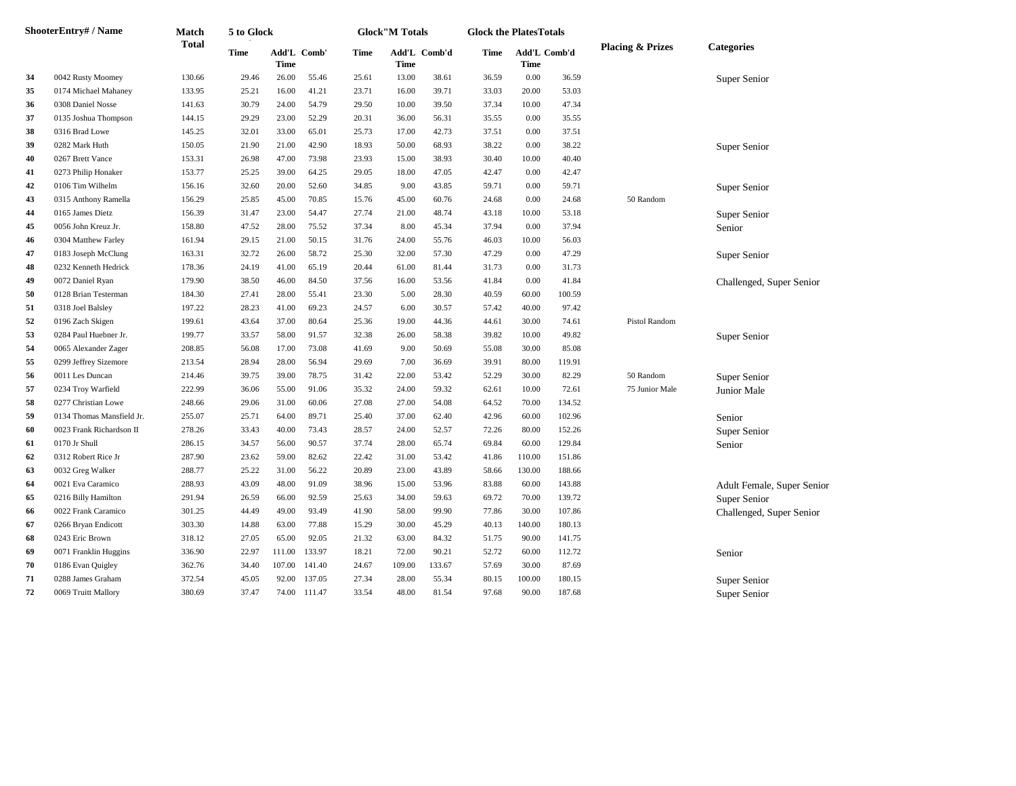| <b>ShooterEntry#/Name</b> | <b>Match</b>              | 5 to Glock   |             |             |              | <b>Glock</b> "M Totals |        | <b>Glock the PlatesTotals</b> |       |                             |        |                             |                            |
|---------------------------|---------------------------|--------------|-------------|-------------|--------------|------------------------|--------|-------------------------------|-------|-----------------------------|--------|-----------------------------|----------------------------|
|                           |                           | <b>Total</b> | <b>Time</b> | <b>Time</b> | Add'L Comb'  | <b>Time</b>            | Time   | Add'L Comb'd                  | Time  | Add'L Comb'd<br><b>Time</b> |        | <b>Placing &amp; Prizes</b> | <b>Categories</b>          |
| 34                        | 0042 Rusty Moomey         | 130.66       | 29.46       | 26.00       | 55.46        | 25.61                  | 13.00  | 38.61                         | 36.59 | $0.00\,$                    | 36.59  |                             | Super Senior               |
| 35                        | 0174 Michael Mahaney      | 133.95       | 25.21       | 16.00       | 41.21        | 23.71                  | 16.00  | 39.71                         | 33.03 | 20.00                       | 53.03  |                             |                            |
| 36                        | 0308 Daniel Nosse         | 141.63       | 30.79       | 24.00       | 54.79        | 29.50                  | 10.00  | 39.50                         | 37.34 | 10.00                       | 47.34  |                             |                            |
| 37                        | 0135 Joshua Thompson      | 144.15       | 29.29       | 23.00       | 52.29        | 20.31                  | 36.00  | 56.31                         | 35.55 | 0.00                        | 35.55  |                             |                            |
| 38                        | 0316 Brad Lowe            | 145.25       | 32.01       | 33.00       | 65.01        | 25.73                  | 17.00  | 42.73                         | 37.51 | $0.00\,$                    | 37.51  |                             |                            |
| 39                        | 0282 Mark Huth            | 150.05       | 21.90       | 21.00       | 42.90        | 18.93                  | 50.00  | 68.93                         | 38.22 | 0.00                        | 38.22  |                             | Super Senior               |
| 40                        | 0267 Brett Vance          | 153.31       | 26.98       | 47.00       | 73.98        | 23.93                  | 15.00  | 38.93                         | 30.40 | 10.00                       | 40.40  |                             |                            |
| 41                        | 0273 Philip Honaker       | 153.77       | 25.25       | 39.00       | 64.25        | 29.05                  | 18.00  | 47.05                         | 42.47 | $0.00\,$                    | 42.47  |                             |                            |
| 42                        | 0106 Tim Wilhelm          | 156.16       | 32.60       | 20.00       | 52.60        | 34.85                  | 9.00   | 43.85                         | 59.71 | $0.00\,$                    | 59.71  |                             | Super Senior               |
| 43                        | 0315 Anthony Ramella      | 156.29       | 25.85       | 45.00       | 70.85        | 15.76                  | 45.00  | 60.76                         | 24.68 | 0.00                        | 24.68  | 50 Random                   |                            |
| 44                        | 0165 James Dietz          | 156.39       | 31.47       | 23.00       | 54.47        | 27.74                  | 21.00  | 48.74                         | 43.18 | 10.00                       | 53.18  |                             | Super Senior               |
| 45                        | 0056 John Kreuz Jr.       | 158.80       | 47.52       | 28.00       | 75.52        | 37.34                  | 8.00   | 45.34                         | 37.94 | $0.00\,$                    | 37.94  |                             | Senior                     |
| 46                        | 0304 Matthew Farley       | 161.94       | 29.15       | 21.00       | 50.15        | 31.76                  | 24.00  | 55.76                         | 46.03 | 10.00                       | 56.03  |                             |                            |
| 47                        | 0183 Joseph McClung       | 163.31       | 32.72       | 26.00       | 58.72        | 25.30                  | 32.00  | 57.30                         | 47.29 | 0.00                        | 47.29  |                             | Super Senior               |
| 48                        | 0232 Kenneth Hedrick      | 178.36       | 24.19       | 41.00       | 65.19        | 20.44                  | 61.00  | 81.44                         | 31.73 | $0.00\,$                    | 31.73  |                             |                            |
| 49                        | 0072 Daniel Ryan          | 179.90       | 38.50       | 46.00       | 84.50        | 37.56                  | 16.00  | 53.56                         | 41.84 | 0.00                        | 41.84  |                             | Challenged, Super Senior   |
| 50                        | 0128 Brian Testerman      | 184.30       | 27.41       | 28.00       | 55.41        | 23.30                  | 5.00   | 28.30                         | 40.59 | 60.00                       | 100.59 |                             |                            |
| 51                        | 0318 Joel Balsley         | 197.22       | 28.23       | 41.00       | 69.23        | 24.57                  | 6.00   | 30.57                         | 57.42 | 40.00                       | 97.42  |                             |                            |
| 52                        | 0196 Zach Skigen          | 199.61       | 43.64       | 37.00       | 80.64        | 25.36                  | 19.00  | 44.36                         | 44.61 | 30.00                       | 74.61  | Pistol Random               |                            |
| 53                        | 0284 Paul Huebner Jr.     | 199.77       | 33.57       | 58.00       | 91.57        | 32.38                  | 26.00  | 58.38                         | 39.82 | 10.00                       | 49.82  |                             | Super Senior               |
| 54                        | 0065 Alexander Zager      | 208.85       | 56.08       | 17.00       | 73.08        | 41.69                  | 9.00   | 50.69                         | 55.08 | 30.00                       | 85.08  |                             |                            |
| 55                        | 0299 Jeffrey Sizemore     | 213.54       | 28.94       | 28.00       | 56.94        | 29.69                  | 7.00   | 36.69                         | 39.91 | 80.00                       | 119.91 |                             |                            |
| 56                        | 0011 Les Duncan           | 214.46       | 39.75       | 39.00       | 78.75        | 31.42                  | 22.00  | 53.42                         | 52.29 | 30.00                       | 82.29  | 50 Random                   | Super Senior               |
| 57                        | 0234 Troy Warfield        | 222.99       | 36.06       | 55.00       | 91.06        | 35.32                  | 24.00  | 59.32                         | 62.61 | 10.00                       | 72.61  | 75 Junior Male              | Junior Male                |
| 58                        | 0277 Christian Lowe       | 248.66       | 29.06       | 31.00       | 60.06        | 27.08                  | 27.00  | 54.08                         | 64.52 | 70.00                       | 134.52 |                             |                            |
| 59                        | 0134 Thomas Mansfield Jr. | 255.07       | 25.71       | 64.00       | 89.71        | 25.40                  | 37.00  | 62.40                         | 42.96 | 60.00                       | 102.96 |                             | Senior                     |
| 60                        | 0023 Frank Richardson II  | 278.26       | 33.43       | 40.00       | 73.43        | 28.57                  | 24.00  | 52.57                         | 72.26 | 80.00                       | 152.26 |                             | Super Senior               |
| 61                        | 0170 Jr Shull             | 286.15       | 34.57       | 56.00       | 90.57        | 37.74                  | 28.00  | 65.74                         | 69.84 | 60.00                       | 129.84 |                             | Senior                     |
| 62                        | 0312 Robert Rice Jr       | 287.90       | 23.62       | 59.00       | 82.62        | 22.42                  | 31.00  | 53.42                         | 41.86 | 110.00                      | 151.86 |                             |                            |
| 63                        | 0032 Greg Walker          | 288.77       | 25.22       | 31.00       | 56.22        | 20.89                  | 23.00  | 43.89                         | 58.66 | 130.00                      | 188.66 |                             |                            |
| 64                        | 0021 Eva Caramico         | 288.93       | 43.09       | 48.00       | 91.09        | 38.96                  | 15.00  | 53.96                         | 83.88 | 60.00                       | 143.88 |                             | Adult Female, Super Senior |
| 65                        | 0216 Billy Hamilton       | 291.94       | 26.59       | 66.00       | 92.59        | 25.63                  | 34.00  | 59.63                         | 69.72 | 70.00                       | 139.72 |                             | Super Senior               |
| 66                        | 0022 Frank Caramico       | 301.25       | 44.49       | 49.00       | 93.49        | 41.90                  | 58.00  | 99.90                         | 77.86 | 30.00                       | 107.86 |                             | Challenged, Super Senior   |
| 67                        | 0266 Bryan Endicott       | 303.30       | 14.88       | 63.00       | 77.88        | 15.29                  | 30.00  | 45.29                         | 40.13 | 140.00                      | 180.13 |                             |                            |
| 68                        | 0243 Eric Brown           | 318.12       | 27.05       | 65.00       | 92.05        | 21.32                  | 63.00  | 84.32                         | 51.75 | 90.00                       | 141.75 |                             |                            |
| 69                        | 0071 Franklin Huggins     | 336.90       | 22.97       | 111.00      | 133.97       | 18.21                  | 72.00  | 90.21                         | 52.72 | 60.00                       | 112.72 |                             | Senior                     |
| 70                        | 0186 Evan Quigley         | 362.76       | 34.40       | 107.00      | 141.40       | 24.67                  | 109.00 | 133.67                        | 57.69 | 30.00                       | 87.69  |                             |                            |
| 71                        | 0288 James Graham         | 372.54       | 45.05       |             | 92.00 137.05 | 27.34                  | 28.00  | 55.34                         | 80.15 | 100.00                      | 180.15 |                             | Super Senior               |
| 72                        | 0069 Truitt Mallory       | 380.69       | 37.47       |             | 74.00 111.47 | 33.54                  | 48.00  | 81.54                         | 97.68 | 90.00                       | 187.68 |                             | Super Senior               |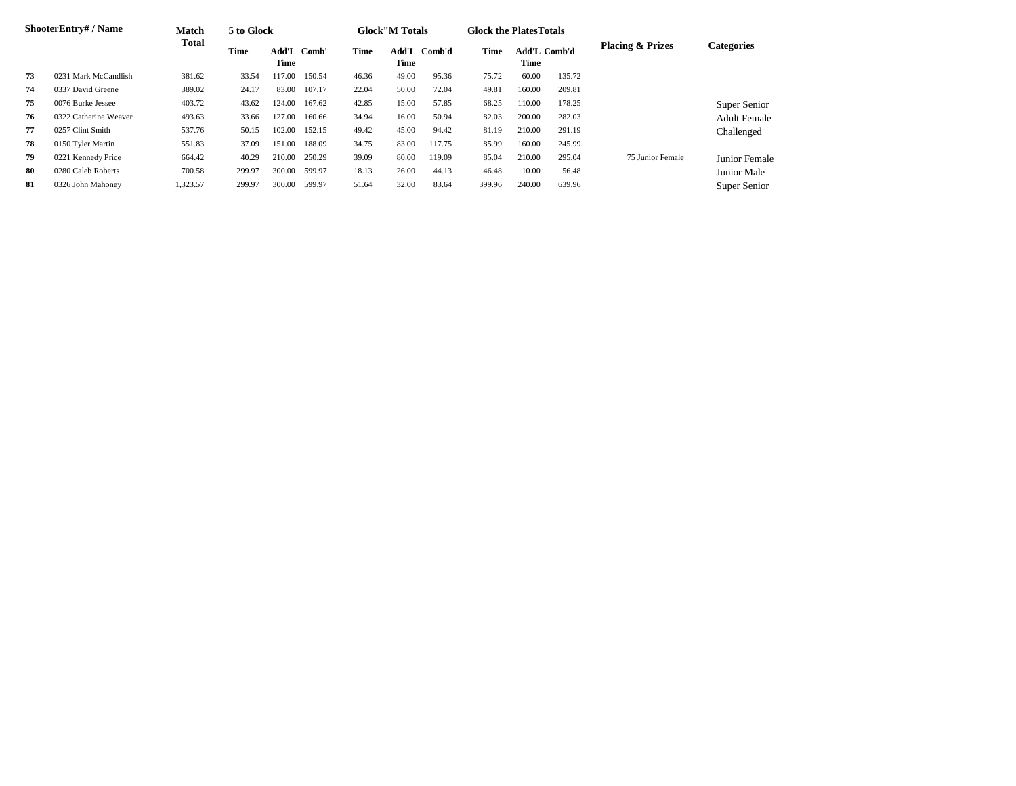|    | <b>ShooterEntry#/Name</b> | <b>Match</b> | 5 to Glock  |               |        |       | <b>Glock</b> "M Totals |              | <b>Glock the Plates Totals</b> |                                    |        |                             |                     |
|----|---------------------------|--------------|-------------|---------------|--------|-------|------------------------|--------------|--------------------------------|------------------------------------|--------|-----------------------------|---------------------|
|    |                           | <b>Total</b> | <b>Time</b> | Add'L<br>Time | Comb'  | Time  | Time                   | Add'L Comb'd | <b>Time</b>                    | <b>Add'L Comb'd</b><br><b>Time</b> |        | <b>Placing &amp; Prizes</b> | <b>Categories</b>   |
| 73 | 0231 Mark McCandlish      | 381.62       | 33.54       | 117.00        | 150.54 | 46.36 | 49.00                  | 95.36        | 75.72                          | 60.00                              | 135.72 |                             |                     |
| 74 | 0337 David Greene         | 389.02       | 24.17       | 83.00         | 107.17 | 22.04 | 50.00                  | 72.04        | 49.81                          | 160.00                             | 209.81 |                             |                     |
| 75 | 0076 Burke Jessee         | 403.72       | 43.62       | 124.00        | 167.62 | 42.85 | 15.00                  | 57.85        | 68.25                          | 110.00                             | 178.25 |                             | Super Senior        |
| 76 | 0322 Catherine Weaver     | 493.63       | 33.66       | 127.00        | 160.66 | 34.94 | 16.00                  | 50.94        | 82.03                          | 200.00                             | 282.03 |                             | <b>Adult Female</b> |
| 77 | 0257 Clint Smith          | 537.76       | 50.15       | 102.00        | 152.15 | 49.42 | 45.00                  | 94.42        | 81.19                          | 210.00                             | 291.19 |                             | Challenged          |
| 78 | 0150 Tyler Martin         | 551.83       | 37.09       | 151.00        | 188.09 | 34.75 | 83.00                  | 117.75       | 85.99                          | 160.00                             | 245.99 |                             |                     |
| 79 | 0221 Kennedy Price        | 664.42       | 40.29       | 210.00        | 250.29 | 39.09 | 80.00                  | 119.09       | 85.04                          | 210.00                             | 295.04 | 75 Junior Female            | Junior Female       |
| 80 | 0280 Caleb Roberts        | 700.58       | 299.97      | 300.00        | 599.97 | 18.13 | 26.00                  | 44.13        | 46.48                          | 10.00                              | 56.48  |                             | Junior Male         |
| 81 | 0326 John Mahoney         | 1,323.57     | 299.97      | 300.00        | 599.97 | 51.64 | 32.00                  | 83.64        | 399.96                         | 240.00                             | 639.96 |                             | Super Senior        |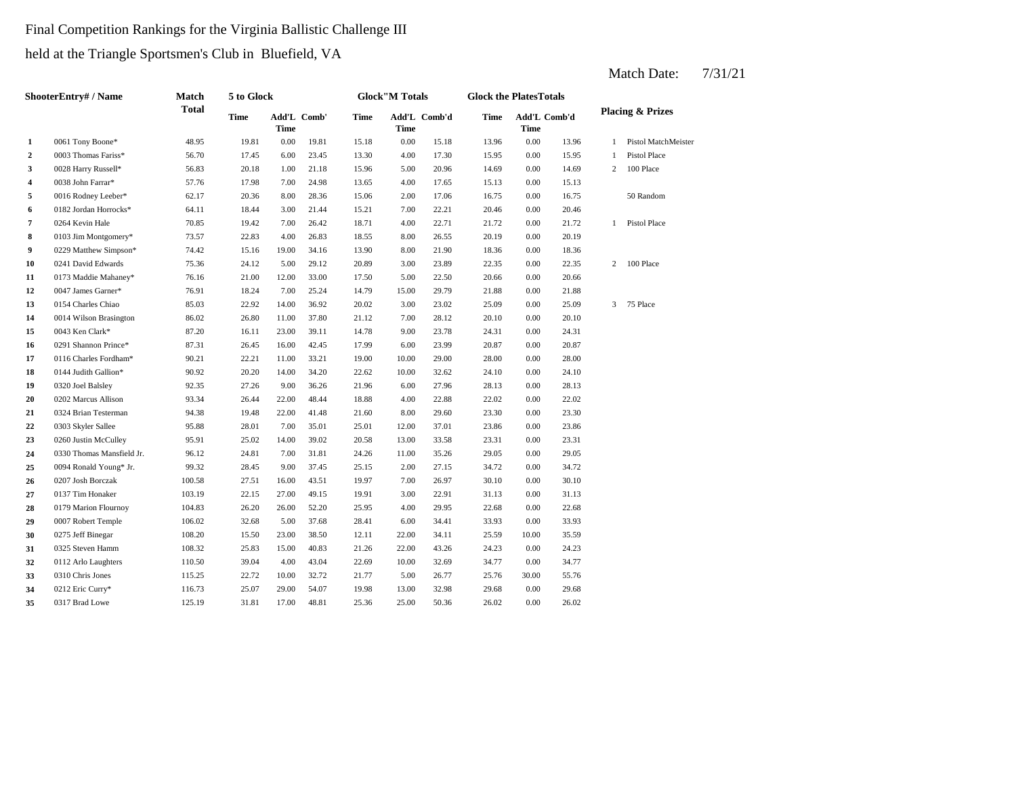# Final Competition Rankings for the Virginia Ballistic Challenge III held at the Triangle Sportsmen's Club in Bluefield, VA

|                         | <b>ShooterEntry#/Name</b> | <b>Match</b> | 5 to Glock  |             |             |             | <b>Glock</b> "M Totals |              | <b>Glock the PlatesTotals</b> |                             |       |                |                             |
|-------------------------|---------------------------|--------------|-------------|-------------|-------------|-------------|------------------------|--------------|-------------------------------|-----------------------------|-------|----------------|-----------------------------|
|                         |                           | <b>Total</b> | <b>Time</b> | <b>Time</b> | Add'L Comb' | <b>Time</b> | <b>Time</b>            | Add'L Comb'd | <b>Time</b>                   | Add'L Comb'd<br><b>Time</b> |       |                | <b>Placing &amp; Prizes</b> |
| $\mathbf{1}$            | 0061 Tony Boone*          | 48.95        | 19.81       | 0.00        | 19.81       | 15.18       | 0.00                   | 15.18        | 13.96                         | $0.00\,$                    | 13.96 | 1              | Pistol MatchMeister         |
| $\mathbf{2}$            | 0003 Thomas Fariss*       | 56.70        | 17.45       | 6.00        | 23.45       | 13.30       | 4.00                   | 17.30        | 15.95                         | 0.00                        | 15.95 |                | Pistol Place                |
| 3                       | 0028 Harry Russell*       | 56.83        | 20.18       | 1.00        | 21.18       | 15.96       | 5.00                   | 20.96        | 14.69                         | 0.00                        | 14.69 | 2              | 100 Place                   |
| $\overline{\mathbf{4}}$ | 0038 John Farrar*         | 57.76        | 17.98       | 7.00        | 24.98       | 13.65       | 4.00                   | 17.65        | 15.13                         | 0.00                        | 15.13 |                |                             |
| 5                       | 0016 Rodney Leeber*       | 62.17        | 20.36       | 8.00        | 28.36       | 15.06       | 2.00                   | 17.06        | 16.75                         | 0.00                        | 16.75 |                | 50 Random                   |
| 6                       | 0182 Jordan Horrocks*     | 64.11        | 18.44       | 3.00        | 21.44       | 15.21       | 7.00                   | 22.21        | 20.46                         | 0.00                        | 20.46 |                |                             |
| 7                       | 0264 Kevin Hale           | 70.85        | 19.42       | 7.00        | 26.42       | 18.71       | 4.00                   | 22.71        | 21.72                         | 0.00                        | 21.72 |                | 1 Pistol Place              |
| 8                       | 0103 Jim Montgomery*      | 73.57        | 22.83       | 4.00        | 26.83       | 18.55       | 8.00                   | 26.55        | 20.19                         | 0.00                        | 20.19 |                |                             |
| 9                       | 0229 Matthew Simpson*     | 74.42        | 15.16       | 19.00       | 34.16       | 13.90       | 8.00                   | 21.90        | 18.36                         | 0.00                        | 18.36 |                |                             |
| 10                      | 0241 David Edwards        | 75.36        | 24.12       | 5.00        | 29.12       | 20.89       | 3.00                   | 23.89        | 22.35                         | 0.00                        | 22.35 |                | 2 100 Place                 |
| 11                      | 0173 Maddie Mahaney*      | 76.16        | 21.00       | 12.00       | 33.00       | 17.50       | 5.00                   | 22.50        | 20.66                         | 0.00                        | 20.66 |                |                             |
| 12                      | 0047 James Garner*        | 76.91        | 18.24       | 7.00        | 25.24       | 14.79       | 15.00                  | 29.79        | 21.88                         | 0.00                        | 21.88 |                |                             |
| 13                      | 0154 Charles Chiao        | 85.03        | 22.92       | 14.00       | 36.92       | 20.02       | 3.00                   | 23.02        | 25.09                         | 0.00                        | 25.09 | $\mathfrak{Z}$ | 75 Place                    |
| 14                      | 0014 Wilson Brasington    | 86.02        | 26.80       | 11.00       | 37.80       | 21.12       | 7.00                   | 28.12        | 20.10                         | 0.00                        | 20.10 |                |                             |
| 15                      | 0043 Ken Clark*           | 87.20        | 16.11       | 23.00       | 39.11       | 14.78       | 9.00                   | 23.78        | 24.31                         | 0.00                        | 24.31 |                |                             |
| 16                      | 0291 Shannon Prince*      | 87.31        | 26.45       | 16.00       | 42.45       | 17.99       | 6.00                   | 23.99        | 20.87                         | 0.00                        | 20.87 |                |                             |
| 17                      | 0116 Charles Fordham*     | 90.21        | 22.21       | 11.00       | 33.21       | 19.00       | 10.00                  | 29.00        | 28.00                         | 0.00                        | 28.00 |                |                             |
| 18                      | 0144 Judith Gallion*      | 90.92        | 20.20       | 14.00       | 34.20       | 22.62       | 10.00                  | 32.62        | 24.10                         | 0.00                        | 24.10 |                |                             |
| 19                      | 0320 Joel Balsley         | 92.35        | 27.26       | 9.00        | 36.26       | 21.96       | 6.00                   | 27.96        | 28.13                         | 0.00                        | 28.13 |                |                             |
| 20                      | 0202 Marcus Allison       | 93.34        | 26.44       | 22.00       | 48.44       | 18.88       | 4.00                   | 22.88        | 22.02                         | 0.00                        | 22.02 |                |                             |
| 21                      | 0324 Brian Testerman      | 94.38        | 19.48       | 22.00       | 41.48       | 21.60       | 8.00                   | 29.60        | 23.30                         | 0.00                        | 23.30 |                |                             |
| 22                      | 0303 Skyler Sallee        | 95.88        | 28.01       | 7.00        | 35.01       | 25.01       | 12.00                  | 37.01        | 23.86                         | 0.00                        | 23.86 |                |                             |
| 23                      | 0260 Justin McCulley      | 95.91        | 25.02       | 14.00       | 39.02       | 20.58       | 13.00                  | 33.58        | 23.31                         | 0.00                        | 23.31 |                |                             |
| 24                      | 0330 Thomas Mansfield Jr. | 96.12        | 24.81       | 7.00        | 31.81       | 24.26       | 11.00                  | 35.26        | 29.05                         | 0.00                        | 29.05 |                |                             |
| 25                      | 0094 Ronald Young* Jr.    | 99.32        | 28.45       | 9.00        | 37.45       | 25.15       | 2.00                   | 27.15        | 34.72                         | 0.00                        | 34.72 |                |                             |
| 26                      | 0207 Josh Borczak         | 100.58       | 27.51       | 16.00       | 43.51       | 19.97       | 7.00                   | 26.97        | 30.10                         | 0.00                        | 30.10 |                |                             |
| 27                      | 0137 Tim Honaker          | 103.19       | 22.15       | 27.00       | 49.15       | 19.91       | 3.00                   | 22.91        | 31.13                         | 0.00                        | 31.13 |                |                             |
| 28                      | 0179 Marion Flournoy      | 104.83       | 26.20       | 26.00       | 52.20       | 25.95       | 4.00                   | 29.95        | 22.68                         | 0.00                        | 22.68 |                |                             |
| 29                      | 0007 Robert Temple        | 106.02       | 32.68       | 5.00        | 37.68       | 28.41       | 6.00                   | 34.41        | 33.93                         | 0.00                        | 33.93 |                |                             |
| 30                      | 0275 Jeff Binegar         | 108.20       | 15.50       | 23.00       | 38.50       | 12.11       | 22.00                  | 34.11        | 25.59                         | 10.00                       | 35.59 |                |                             |
| 31                      | 0325 Steven Hamm          | 108.32       | 25.83       | 15.00       | 40.83       | 21.26       | 22.00                  | 43.26        | 24.23                         | 0.00                        | 24.23 |                |                             |
| 32                      | 0112 Arlo Laughters       | 110.50       | 39.04       | 4.00        | 43.04       | 22.69       | 10.00                  | 32.69        | 34.77                         | 0.00                        | 34.77 |                |                             |
| 33                      | 0310 Chris Jones          | 115.25       | 22.72       | 10.00       | 32.72       | 21.77       | 5.00                   | 26.77        | 25.76                         | 30.00                       | 55.76 |                |                             |
| 34                      | 0212 Eric Curry*          | 116.73       | 25.07       | 29.00       | 54.07       | 19.98       | 13.00                  | 32.98        | 29.68                         | 0.00                        | 29.68 |                |                             |
| 35                      | 0317 Brad Lowe            | 125.19       | 31.81       | 17.00       | 48.81       | 25.36       | 25.00                  | 50.36        | 26.02                         | 0.00                        | 26.02 |                |                             |
|                         |                           |              |             |             |             |             |                        |              |                               |                             |       |                |                             |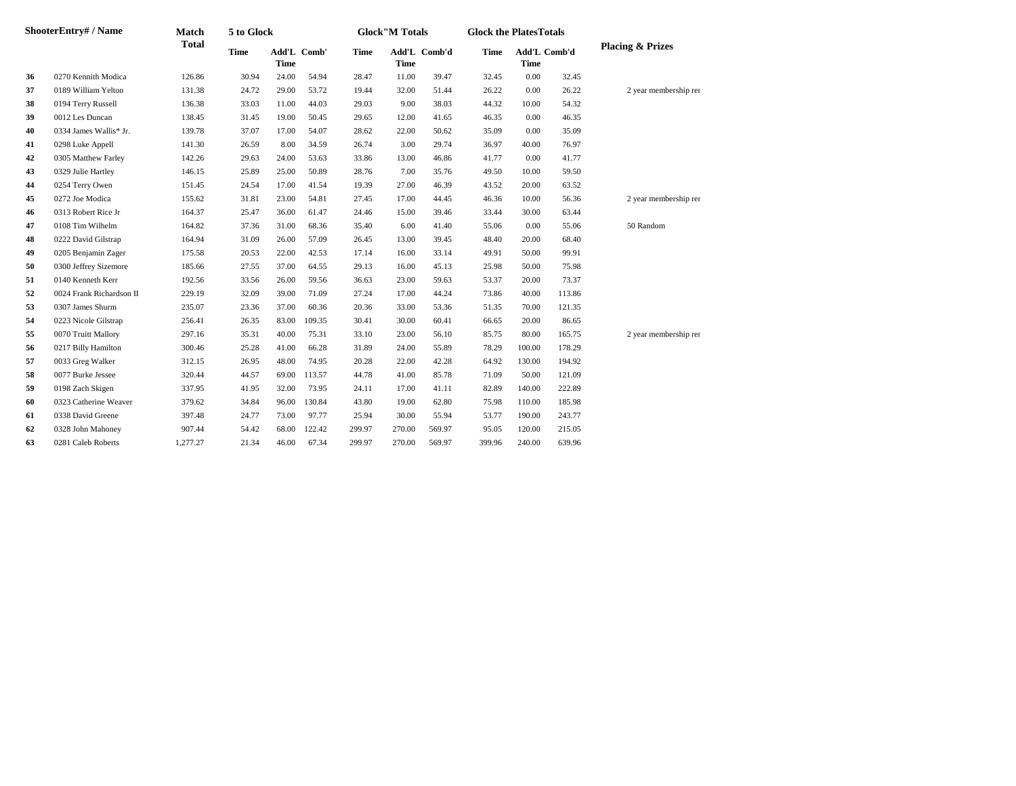|    | ShooterEntry# / Name     | <b>Match</b> | 5 to Glock  |             |             |             | <b>Glock"M Totals</b> |              | <b>Glock the PlatesTotals</b> |                             |        |                             |
|----|--------------------------|--------------|-------------|-------------|-------------|-------------|-----------------------|--------------|-------------------------------|-----------------------------|--------|-----------------------------|
|    |                          | <b>Total</b> | <b>Time</b> | <b>Time</b> | Add'L Comb' | <b>Time</b> | <b>Time</b>           | Add'L Comb'd | <b>Time</b>                   | Add'L Comb'd<br><b>Time</b> |        | <b>Placing &amp; Prizes</b> |
| 36 | 0270 Kennith Modica      | 126.86       | 30.94       | 24.00       | 54.94       | 28.47       | 11.00                 | 39.47        | 32.45                         | 0.00                        | 32.45  |                             |
| 37 | 0189 William Yelton      | 131.38       | 24.72       | 29.00       | 53.72       | 19.44       | 32.00                 | 51.44        | 26.22                         | 0.00                        | 26.22  | 2 year membership rer       |
| 38 | 0194 Terry Russell       | 136.38       | 33.03       | 11.00       | 44.03       | 29.03       | 9.00                  | 38.03        | 44.32                         | 10.00                       | 54.32  |                             |
| 39 | 0012 Les Duncan          | 138.45       | 31.45       | 19.00       | 50.45       | 29.65       | 12.00                 | 41.65        | 46.35                         | 0.00                        | 46.35  |                             |
| 40 | 0334 James Wallis* Jr.   | 139.78       | 37.07       | 17.00       | 54.07       | 28.62       | 22.00                 | 50.62        | 35.09                         | 0.00                        | 35.09  |                             |
| 41 | 0298 Luke Appell         | 141.30       | 26.59       | 8.00        | 34.59       | 26.74       | 3.00                  | 29.74        | 36.97                         | 40.00                       | 76.97  |                             |
| 42 | 0305 Matthew Farley      | 142.26       | 29.63       | 24.00       | 53.63       | 33.86       | 13.00                 | 46.86        | 41.77                         | 0.00                        | 41.77  |                             |
| 43 | 0329 Julie Hartley       | 146.15       | 25.89       | 25.00       | 50.89       | 28.76       | 7.00                  | 35.76        | 49.50                         | 10.00                       | 59.50  |                             |
| 44 | 0254 Terry Owen          | 151.45       | 24.54       | 17.00       | 41.54       | 19.39       | 27.00                 | 46.39        | 43.52                         | 20.00                       | 63.52  |                             |
| 45 | 0272 Joe Modica          | 155.62       | 31.81       | 23.00       | 54.81       | 27.45       | 17.00                 | 44.45        | 46.36                         | 10.00                       | 56.36  | 2 year membership rer       |
| 46 | 0313 Robert Rice Jr      | 164.37       | 25.47       | 36.00       | 61.47       | 24.46       | 15.00                 | 39.46        | 33.44                         | 30.00                       | 63.44  |                             |
| 47 | 0108 Tim Wilhelm         | 164.82       | 37.36       | 31.00       | 68.36       | 35.40       | 6.00                  | 41.40        | 55.06                         | 0.00                        | 55.06  | 50 Random                   |
| 48 | 0222 David Gilstrap      | 164.94       | 31.09       | 26.00       | 57.09       | 26.45       | 13.00                 | 39.45        | 48.40                         | 20.00                       | 68.40  |                             |
| 49 | 0205 Benjamin Zager      | 175.58       | 20.53       | 22.00       | 42.53       | 17.14       | 16.00                 | 33.14        | 49.91                         | 50.00                       | 99.91  |                             |
| 50 | 0300 Jeffrey Sizemore    | 185.66       | 27.55       | 37.00       | 64.55       | 29.13       | 16.00                 | 45.13        | 25.98                         | 50.00                       | 75.98  |                             |
| 51 | 0140 Kenneth Kerr        | 192.56       | 33.56       | 26.00       | 59.56       | 36.63       | 23.00                 | 59.63        | 53.37                         | 20.00                       | 73.37  |                             |
| 52 | 0024 Frank Richardson II | 229.19       | 32.09       | 39.00       | 71.09       | 27.24       | 17.00                 | 44.24        | 73.86                         | 40.00                       | 113.86 |                             |
| 53 | 0307 James Shurm         | 235.07       | 23.36       | 37.00       | 60.36       | 20.36       | 33.00                 | 53.36        | 51.35                         | 70.00                       | 121.35 |                             |
| 54 | 0223 Nicole Gilstrap     | 256.41       | 26.35       | 83.00       | 109.35      | 30.41       | 30.00                 | 60.41        | 66.65                         | 20.00                       | 86.65  |                             |
| 55 | 0070 Truitt Mallory      | 297.16       | 35.31       | 40.00       | 75.31       | 33.10       | 23.00                 | 56.10        | 85.75                         | 80.00                       | 165.75 | 2 year membership rer       |
| 56 | 0217 Billy Hamilton      | 300.46       | 25.28       | 41.00       | 66.28       | 31.89       | 24.00                 | 55.89        | 78.29                         | 100.00                      | 178.29 |                             |
| 57 | 0033 Greg Walker         | 312.15       | 26.95       | 48.00       | 74.95       | 20.28       | 22.00                 | 42.28        | 64.92                         | 130.00                      | 194.92 |                             |
| 58 | 0077 Burke Jessee        | 320.44       | 44.57       | 69.00       | 113.57      | 44.78       | 41.00                 | 85.78        | 71.09                         | 50.00                       | 121.09 |                             |
| 59 | 0198 Zach Skigen         | 337.95       | 41.95       | 32.00       | 73.95       | 24.11       | 17.00                 | 41.11        | 82.89                         | 140.00                      | 222.89 |                             |
| 60 | 0323 Catherine Weaver    | 379.62       | 34.84       | 96.00       | 130.84      | 43.80       | 19.00                 | 62.80        | 75.98                         | 110.00                      | 185.98 |                             |
| 61 | 0338 David Greene        | 397.48       | 24.77       | 73.00       | 97.77       | 25.94       | 30.00                 | 55.94        | 53.77                         | 190.00                      | 243.77 |                             |
| 62 | 0328 John Mahoney        | 907.44       | 54.42       | 68.00       | 122.42      | 299.97      | 270.00                | 569.97       | 95.05                         | 120.00                      | 215.05 |                             |
| 63 | 0281 Caleb Roberts       | 1,277.27     | 21.34       | 46.00       | 67.34       | 299.97      | 270.00                | 569.97       | 399.96                        | 240.00                      | 639.96 |                             |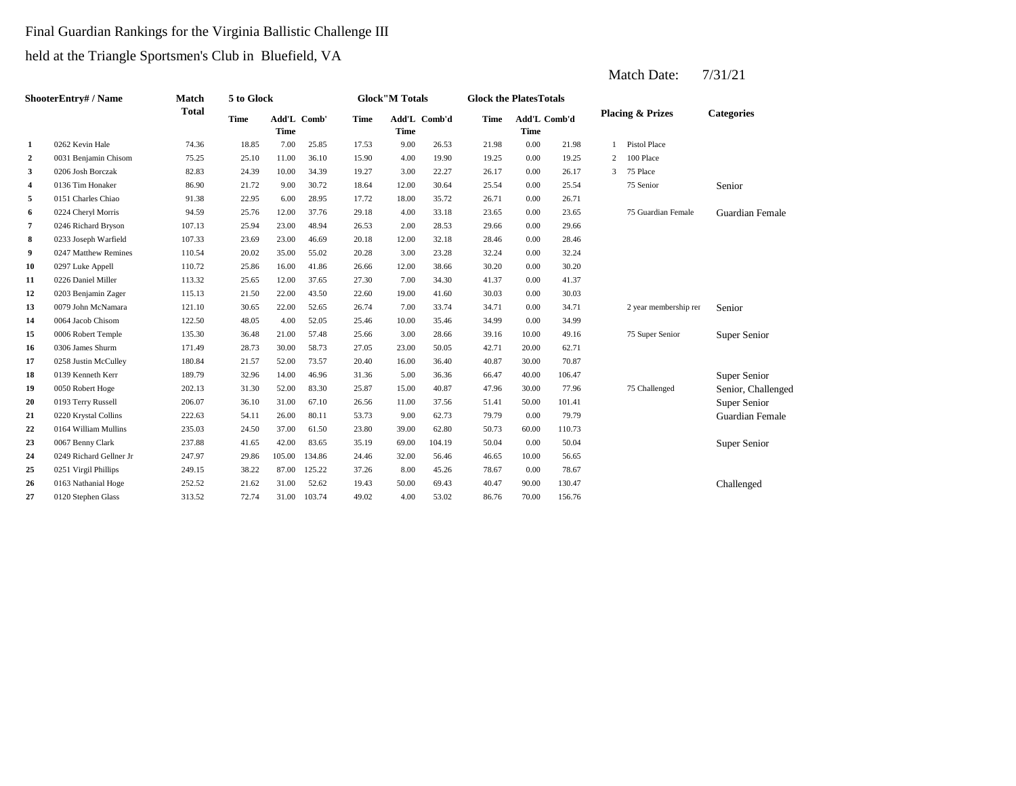## Final Guardian Rankings for the Virginia Ballistic Challenge III held at the Triangle Sportsmen's Club in Bluefield, VA

**2** 0031 Benjamin Chisom 75.25 25.10 11.00 36.10 15.90 4.00 19.90 19.25 0.00 **3** 0206 Josh Borczak 82.83 24.39 10.00 34.39 19.27 3.00 22.27 26.17 **4** 12.00 25.54 0136 Tim Honaker 86.90 21.72 9.00 30.72 18.64 **5** 18.00 26.71 0151 Charles Chiao 91.38 22.95 6.00 28.95 **6** 0224 Cheryl Morris 94.59 25.76 12.00 37.76 29.18 4.00 33.18 23.65 **7** 0246 Richard Bryson 107.13 25.94 23.00 48.94 26.53 2.00 28.53 29.66 **8** 12.00 28.46 0233 Joseph Warfield 107.33 23.69 23.00 46.69 20.18 **9** 0247 Matthew Remines 110.54 20.02 35.00 55.02 20.28 3.00 23.28 32.24 **10** 0297 Luke Appell **110.72** 25.86 16.00 41.86 26.66 12.00 38.66 30.20 0.00 **11** 0226 Daniel Miller **113.32** 25.65 12.00 37.65 27.30 7.00 34.30 41.37 0.00 41.37 **12** 19.00 30.03 0203 Benjamin Zager 115.13 21.50 22.00 43.50 22.60 **13** 0079 John McNamara 121.10 30.65 22.00 52.65 26.74 7.00 33.74 34.71 **14** 0064 Jacob Chisom 122.50 48.05 4.00 52.05 25.46 10.00 35.46 34.99 **15** 0006 Robert Temple 135.30 36.48 21.00 57.48 25.66 3.00 28.66 39.16 **16** 0306 James Shurm 171.49 28.73 30.00 58.73 27.05 23.00 50.05 42.71 **17** 0258 Justin McCulley 180.84 21.57 52.00 73.57 20.40 16.00 36.40 40.87 **18 18 139** Kenneth Kerr **189.79 189.79 14.00 14.00 16.36 131.36 131.36 5.00 36.36 166.47 40.00 19** 0050 Robert Hoge 202.13 31.30 52.00 83.30 25.87 15.00 40.87 47.96 30.00 **20** 0193 Terry Russell 206.07 36.10 31.00 67.10 26.56 11.00 37.56 51.41 **21** 0220 Krystal Collins 222.63 54.11 26.00 80.11 53.73 9.00 62.73 79.79 **22** 39.00 50.73 0164 William Mullins 235.03 24.50 37.00 61.50 23.80 62.80 **23** 69.00 104.19 50.04 69.00 50.04 237.88 41.65 42.00 83.65 35.19 69.00 104.19 50.04 6.00 **24** 0249 Richard Gellner Jr 247.97 29.86 105.00 134.86 24.46 32.00 56.46 46.65 10.00 **25** 8.00 78.67 0251 Virgil Phillips 249.15 38.22 87.00 125.22 37.26 45.26 0.00 78.67 **26** 0163 Nathanial Hoge 252.52 21.62 31.00 52.62 19.43 50.00 69.43 40.47 **27** 4.00 53.02 86.76 70.00 156.76 0120 Stephen Glass 313.52 72.74 31.00 103.74 49.02 69.43 90.00 130.47 Challenged 56.65 50.04 Super Senior 60.00 110.73 0.00 79.79 Guardian Female 50.00 101.41 Super Senior 77.96 75 Challenged Senior, Challenged 106.47 Super Senior 30.00 70.87 50.05 42.71 20.00 62.71 10.00 49.16 75 Super Senior Super Senior 35.46 0.00 34.99 0.00 34.71 2 year membership renewal 2 41.60 30.03 0.00 30.03 30.20 0.00 32.24 32.18 0.00 28.46 26.53 2.00 28.53 29.66 0.00 29.66 33.18 0.00 23.65 75 Guardian Female Guardian Female 17.72 35.72 0.00 26.71 30.64 0.00 25.54 75 Senior Senior 0.00 26.17 3 75 Place 19.25 2 100 Place 1 Pistol Place **1** 0262 Kevin Hale 74.36 18.85 7.00 25.85 17.53 9.00 26.53 21.98 0.00 21.98 **Categories Time Add'L Time** Add'L Comb' **Time Add'L Comb'd Time Add'L Time Time** Add'L Comb'd **ShooterEntry# / Name Match Total 5 to Glock Time Glock"M Totals Glock the PlatesTotals Placing & Prizes**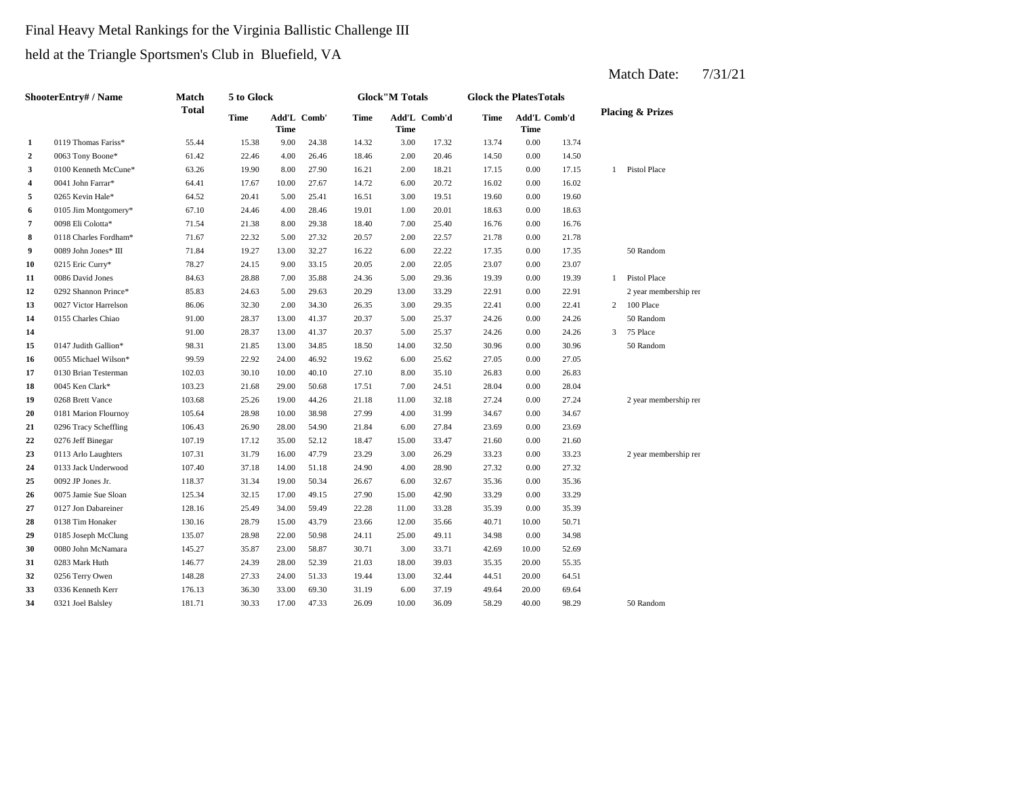# Final Heavy Metal Rankings for the Virginia Ballistic Challenge III held at the Triangle Sportsmen's Club in Bluefield, VA

| ShooterEntry# / Name    |                       | Match        | 5 to Glock  |             |             |             | <b>Glock</b> "M Totals |              |             | <b>Glock the PlatesTotals</b> |       |                |                             |
|-------------------------|-----------------------|--------------|-------------|-------------|-------------|-------------|------------------------|--------------|-------------|-------------------------------|-------|----------------|-----------------------------|
|                         |                       | <b>Total</b> | <b>Time</b> | <b>Time</b> | Add'L Comb' | <b>Time</b> | <b>Time</b>            | Add'L Comb'd | <b>Time</b> | Add'L Comb'd<br><b>Time</b>   |       |                | <b>Placing &amp; Prizes</b> |
| 1                       | 0119 Thomas Fariss*   | 55.44        | 15.38       | 9.00        | 24.38       | 14.32       | 3.00                   | 17.32        | 13.74       | 0.00                          | 13.74 |                |                             |
| $\overline{2}$          | 0063 Tony Boone*      | 61.42        | 22.46       | 4.00        | 26.46       | 18.46       | 2.00                   | 20.46        | 14.50       | 0.00                          | 14.50 |                |                             |
| 3                       | 0100 Kenneth McCune*  | 63.26        | 19.90       | 8.00        | 27.90       | 16.21       | 2.00                   | 18.21        | 17.15       | 0.00                          | 17.15 |                | 1 Pistol Place              |
| $\overline{\mathbf{4}}$ | 0041 John Farrar*     | 64.41        | 17.67       | 10.00       | 27.67       | 14.72       | 6.00                   | 20.72        | 16.02       | 0.00                          | 16.02 |                |                             |
| 5                       | 0265 Kevin Hale*      | 64.52        | 20.41       | 5.00        | 25.41       | 16.51       | 3.00                   | 19.51        | 19.60       | 0.00                          | 19.60 |                |                             |
| 6                       | 0105 Jim Montgomery*  | 67.10        | 24.46       | 4.00        | 28.46       | 19.01       | 1.00                   | 20.01        | 18.63       | 0.00                          | 18.63 |                |                             |
| 7                       | 0098 Eli Colotta*     | 71.54        | 21.38       | 8.00        | 29.38       | 18.40       | 7.00                   | 25.40        | 16.76       | 0.00                          | 16.76 |                |                             |
| 8                       | 0118 Charles Fordham* | 71.67        | 22.32       | 5.00        | 27.32       | 20.57       | 2.00                   | 22.57        | 21.78       | 0.00                          | 21.78 |                |                             |
| 9                       | 0089 John Jones* III  | 71.84        | 19.27       | 13.00       | 32.27       | 16.22       | 6.00                   | 22.22        | 17.35       | 0.00                          | 17.35 |                | 50 Random                   |
| 10                      | 0215 Eric Curry*      | 78.27        | 24.15       | 9.00        | 33.15       | 20.05       | 2.00                   | 22.05        | 23.07       | 0.00                          | 23.07 |                |                             |
| 11                      | 0086 David Jones      | 84.63        | 28.88       | 7.00        | 35.88       | 24.36       | 5.00                   | 29.36        | 19.39       | 0.00                          | 19.39 | $\mathbf{1}$   | Pistol Place                |
| 12                      | 0292 Shannon Prince*  | 85.83        | 24.63       | 5.00        | 29.63       | 20.29       | 13.00                  | 33.29        | 22.91       | 0.00                          | 22.91 |                | 2 year membership rer       |
| 13                      | 0027 Victor Harrelson | 86.06        | 32.30       | 2.00        | 34.30       | 26.35       | 3.00                   | 29.35        | 22.41       | 0.00                          | 22.41 | $\overline{2}$ | 100 Place                   |
| 14                      | 0155 Charles Chiao    | 91.00        | 28.37       | 13.00       | 41.37       | 20.37       | 5.00                   | 25.37        | 24.26       | 0.00                          | 24.26 |                | 50 Random                   |
| 14                      |                       | 91.00        | 28.37       | 13.00       | 41.37       | 20.37       | 5.00                   | 25.37        | 24.26       | 0.00                          | 24.26 | $\mathfrak{Z}$ | 75 Place                    |
| 15                      | 0147 Judith Gallion*  | 98.31        | 21.85       | 13.00       | 34.85       | 18.50       | 14.00                  | 32.50        | 30.96       | 0.00                          | 30.96 |                | 50 Random                   |
| 16                      | 0055 Michael Wilson*  | 99.59        | 22.92       | 24.00       | 46.92       | 19.62       | 6.00                   | 25.62        | 27.05       | 0.00                          | 27.05 |                |                             |
| 17                      | 0130 Brian Testerman  | 102.03       | 30.10       | 10.00       | 40.10       | 27.10       | 8.00                   | 35.10        | 26.83       | 0.00                          | 26.83 |                |                             |
| 18                      | 0045 Ken Clark*       | 103.23       | 21.68       | 29.00       | 50.68       | 17.51       | 7.00                   | 24.51        | 28.04       | 0.00                          | 28.04 |                |                             |
| 19                      | 0268 Brett Vance      | 103.68       | 25.26       | 19.00       | 44.26       | 21.18       | 11.00                  | 32.18        | 27.24       | 0.00                          | 27.24 |                | 2 year membership rer       |
| 20                      | 0181 Marion Flournoy  | 105.64       | 28.98       | 10.00       | 38.98       | 27.99       | 4.00                   | 31.99        | 34.67       | 0.00                          | 34.67 |                |                             |
| 21                      | 0296 Tracy Scheffling | 106.43       | 26.90       | 28.00       | 54.90       | 21.84       | 6.00                   | 27.84        | 23.69       | 0.00                          | 23.69 |                |                             |
| 22                      | 0276 Jeff Binegar     | 107.19       | 17.12       | 35.00       | 52.12       | 18.47       | 15.00                  | 33.47        | 21.60       | 0.00                          | 21.60 |                |                             |
| 23                      | 0113 Arlo Laughters   | 107.31       | 31.79       | 16.00       | 47.79       | 23.29       | 3.00                   | 26.29        | 33.23       | 0.00                          | 33.23 |                | 2 year membership rer       |
| 24                      | 0133 Jack Underwood   | 107.40       | 37.18       | 14.00       | 51.18       | 24.90       | 4.00                   | 28.90        | 27.32       | 0.00                          | 27.32 |                |                             |
| 25                      | 0092 JP Jones Jr.     | 118.37       | 31.34       | 19.00       | 50.34       | 26.67       | 6.00                   | 32.67        | 35.36       | 0.00                          | 35.36 |                |                             |
| 26                      | 0075 Jamie Sue Sloan  | 125.34       | 32.15       | 17.00       | 49.15       | 27.90       | 15.00                  | 42.90        | 33.29       | 0.00                          | 33.29 |                |                             |
| 27                      | 0127 Jon Dabareiner   | 128.16       | 25.49       | 34.00       | 59.49       | 22.28       | 11.00                  | 33.28        | 35.39       | 0.00                          | 35.39 |                |                             |
| 28                      | 0138 Tim Honaker      | 130.16       | 28.79       | 15.00       | 43.79       | 23.66       | 12.00                  | 35.66        | 40.71       | 10.00                         | 50.71 |                |                             |
| 29                      | 0185 Joseph McClung   | 135.07       | 28.98       | 22.00       | 50.98       | 24.11       | 25.00                  | 49.11        | 34.98       | 0.00                          | 34.98 |                |                             |
| 30                      | 0080 John McNamara    | 145.27       | 35.87       | 23.00       | 58.87       | 30.71       | 3.00                   | 33.71        | 42.69       | 10.00                         | 52.69 |                |                             |
| 31                      | 0283 Mark Huth        | 146.77       | 24.39       | 28.00       | 52.39       | 21.03       | 18.00                  | 39.03        | 35.35       | 20.00                         | 55.35 |                |                             |
| 32                      | 0256 Terry Owen       | 148.28       | 27.33       | 24.00       | 51.33       | 19.44       | 13.00                  | 32.44        | 44.51       | 20.00                         | 64.51 |                |                             |
| 33                      | 0336 Kenneth Kerr     | 176.13       | 36.30       | 33.00       | 69.30       | 31.19       | 6.00                   | 37.19        | 49.64       | 20.00                         | 69.64 |                |                             |
| 34                      | 0321 Joel Balsley     | 181.71       | 30.33       | 17.00       | 47.33       | 26.09       | 10.00                  | 36.09        | 58.29       | 40.00                         | 98.29 |                | 50 Random                   |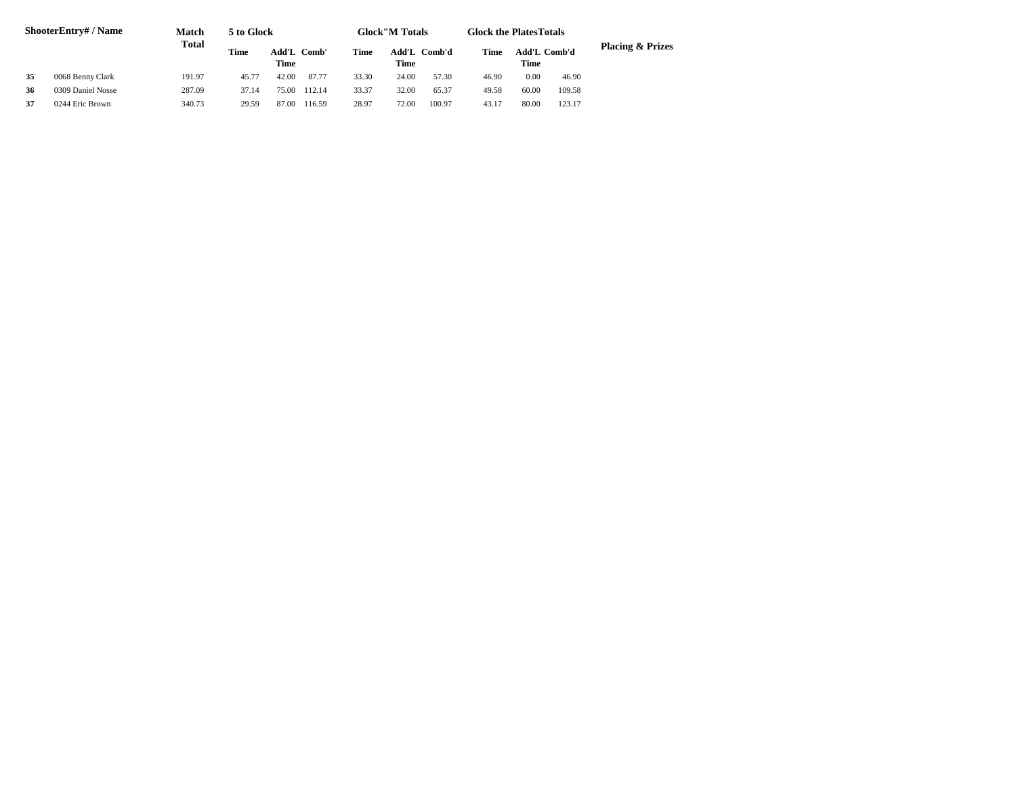| <b>ShooterEntry#/Name</b> |                   | Match        | 5 to Glock |             |             | <b>Glock</b> "M Totals |       |              | <b>Glock the Plates Totals</b> |             |              |                             |
|---------------------------|-------------------|--------------|------------|-------------|-------------|------------------------|-------|--------------|--------------------------------|-------------|--------------|-----------------------------|
|                           |                   | <b>Total</b> | Time       | <b>Time</b> | Add'L Comb' | <b>Time</b>            | Time  | Add'L Comb'd | Time                           | <b>Time</b> | Add'L Comb'd | <b>Placing &amp; Prizes</b> |
| 35                        | 0068 Benny Clark  | 191.97       | 45.77      | 42.00       | 87.77       | 33.30                  | 24.00 | 57.30        | 46.90                          | 0.00        | 46.90        |                             |
| 36                        | 0309 Daniel Nosse | 287.09       | 37.14      | 75.00       | 112.14      | 33.37                  | 32.00 | 65.37        | 49.58                          | 60.00       | 109.58       |                             |
| 37                        | 0244 Eric Brown   | 340.73       | 29.59      | 87.00       | 116.59      | 28.97                  | 72.00 | 100.97       | 43.17                          | 80.00       | 123.17       |                             |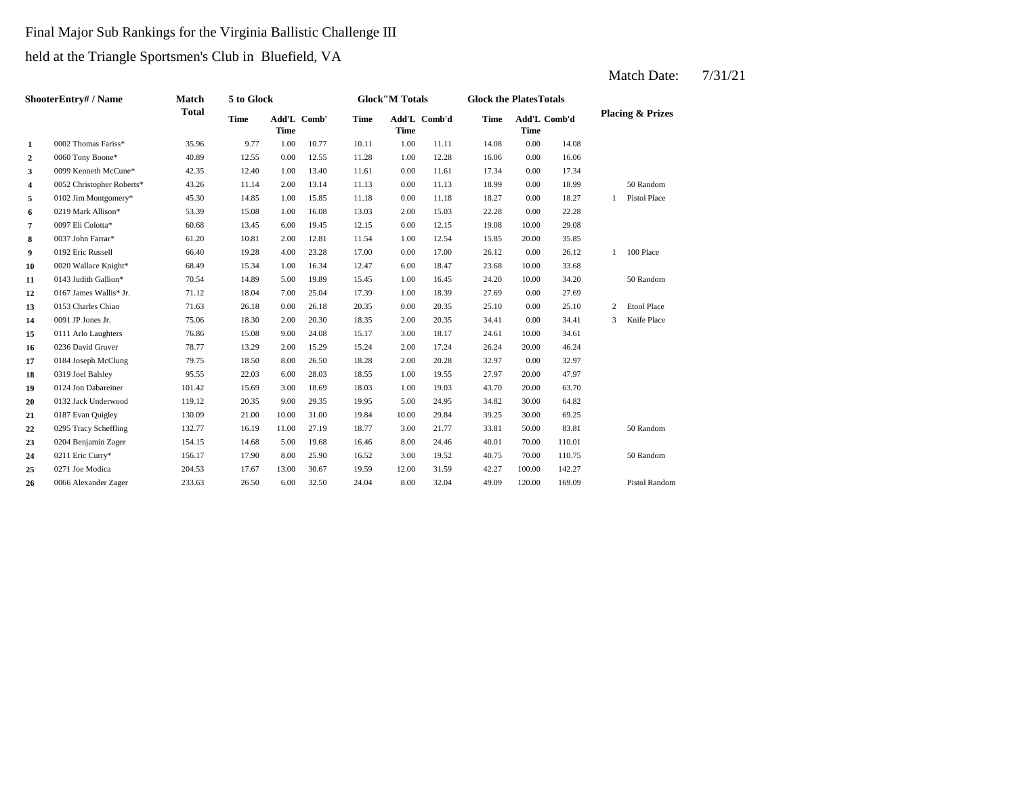## Final Major Sub Rankings for the Virginia Ballistic Challenge III held at the Triangle Sportsmen's Club in Bluefield, VA

**2** 1.00 16.06 0060 Tony Boone\* 40.89 12.55 0.00 12.55 11.28 12.28 0.00 16.06 **3** 0.009 Kenneth McCune\* 42.35 12.40 1.00 13.40 11.61 0.00 11.61 17.34 4 0052 Christopher Roberts\* 43.26 11.14 2.00 13.14 11.13 0.00 11.13 18.99 **5** 0.00 11.18 18.27 0102 Jim Montgomery\* 45.30 14.85 1.00 15.85 11.18 0.00 11.18 18.27 **6** 0219 Mark Allison\* 53.39 15.08 1.00 16.08 13.03 2.00 15.03 22.28 **7** 0.097 Eli Colotta\* 60.68 13.45 6.00 19.45 12.15 0.00 12.15 19.08 **8** 1.00 15.85 0037 John Farrar\* 61.20 10.81 2.00 12.81 11.54 12.54 20.00 **9** 0192 Eric Russell 66.40 19.28 4.00 23.28 17.00 0.00 17.00 26.12 0.00 26.12 **10** 0020 Wallace Knight\* 68.49 15.34 1.00 16.34 12.47 6.00 18.47 23.68 10.00 **11** 0143 Judith Gallion\* 70.54 14.89 5.00 19.89 15.45 1.00 16.45 24.20 10.00 34.20 **12** 0167 James Wallis\* Jr. 71.12 18.04 7.00 25.04 17.39 1.00 18.39 27.69 0.00 27.69 **13** 0.00 25.10 0153 Charles Chiao 71.63 26.18 0.00 26.18 20.35 **14** 2.00 34.41 0091 JP Jones Jr. 75.06 18.30 2.00 20.30 **15** 3.00 24.61 0111 Arlo Laughters 76.86 15.08 9.00 24.08 15.17 **16** 0236 David Gruver **18.77** 13.29 2.00 15.29 15.24 2.00 17.24 26.24 **17** 0184 Joseph McClung 79.75 18.50 8.00 26.50 18.28 2.00 20.28 32.97 0.00 **18** 0319 Joel Balsley **18** 95.55 22.03 6.00 28.03 18.55 1.00 19.55 27.97 **19** 0124 Jon Dabareiner 101.42 15.69 3.00 18.69 18.03 1.00 19.03 43.70 **20** 0132 Jack Underwood 119.12 20.35 9.00 29.35 19.95 5.00 24.95 34.82 **21** 10.00 39.25 0187 Evan Quigley 130.09 21.00 10.00 31.00 19.84 29.84 30.00 **22** 0295 Tracy Scheffling 132.77 16.19 11.00 27.19 18.77 3.00 21.77 33.81 50.00 83.81 **23** 8.00 40.01 0204 Benjamin Zager 154.15 14.68 5.00 19.68 16.46 24.46 70.00 110.01 **24** 3.00 40.75 0211 Eric Curry\* 156.17 17.90 8.00 25.90 16.52 **25** 12.00 42.27 0271 Joe Modica 204.53 17.67 13.00 30.67 19.59 **26** 8.00 49.09 120.00 169.09 Pistol Random 0066 Alexander Zager 233.63 26.50 6.00 32.50 24.04 32.04 31.59 100.00 142.27 19.52 40.75 70.00 110.75 50 Random 50 Random 69.25 30.00 64.82 19.03 43.70 20.00 63.70 32.97 0319 Joel Balsley 95.55 22.03 6.00 28.03 18.55 19.55 20.00 47.97 20.00 46.24 18.17 10.00 34.61 18.35 2.00 20.35 34.41 0.00 34.41 3 Knife Place 20.35 25.10 0.00 25.10 2 Etool Place 50 Random 33.68 1 100 Place 35.85 10.00 29.08 15.03 0.00 22.28 0.00 18.27 1 Pistol Place 0.00 18.99 50 Random 11.61 17.34 0.00 17.34 14.08 10.77 10.11 1.00 11.11 14.08 0.00 **Add'L Comb'd Time Add'L Time Time Comb'd 1** 0002 Thomas Fariss\* 35.96 9.77 1.00 **ShooterEntry# / Name Match Total 5 to Glock Time Glock"M Totals Glock the PlatesTotals Placing & Prizes Time Add'L Time** Add'L Comb' **Time**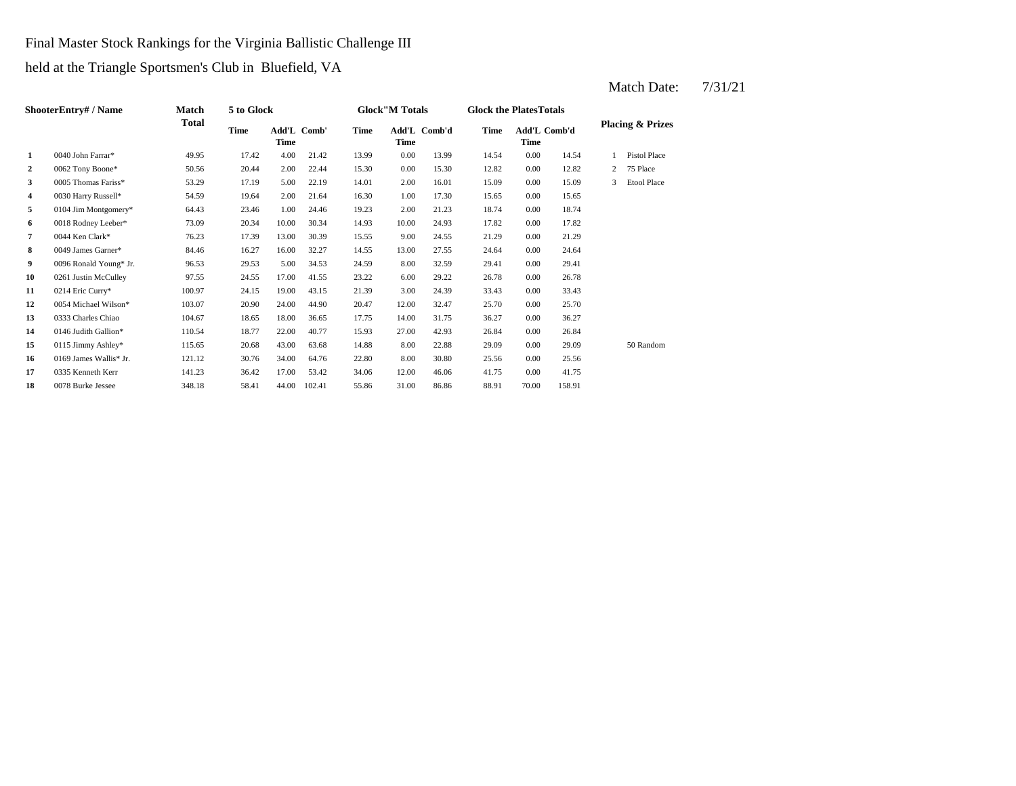Final Master Stock Rankings for the Virginia Ballistic Challenge III

held at the Triangle Sportsmen's Club in Bluefield, VA

| <b>ShooterEntry#/Name</b> |                        | <b>Match</b> | 5 to Glock  |                            |        |             | <b>Glock</b> "M Totals |              | <b>Glock the PlatesTotals</b> |                             |        |   |                             |  |
|---------------------------|------------------------|--------------|-------------|----------------------------|--------|-------------|------------------------|--------------|-------------------------------|-----------------------------|--------|---|-----------------------------|--|
|                           |                        | <b>Total</b> | <b>Time</b> | Add'L Comb'<br><b>Time</b> |        | <b>Time</b> | <b>Time</b>            | Add'L Comb'd | <b>Time</b>                   | Add'L Comb'd<br><b>Time</b> |        |   | <b>Placing &amp; Prizes</b> |  |
| 1                         | 0040 John Farrar*      | 49.95        | 17.42       | 4.00                       | 21.42  | 13.99       | 0.00                   | 13.99        | 14.54                         | 0.00                        | 14.54  |   | <b>Pistol Place</b>         |  |
| $\overline{2}$            | 0062 Tony Boone*       | 50.56        | 20.44       | 2.00                       | 22.44  | 15.30       | 0.00                   | 15.30        | 12.82                         | 0.00                        | 12.82  | 2 | 75 Place                    |  |
| $\mathbf{3}$              | 0005 Thomas Fariss*    | 53.29        | 17.19       | 5.00                       | 22.19  | 14.01       | 2.00                   | 16.01        | 15.09                         | 0.00                        | 15.09  | 3 | <b>Etool Place</b>          |  |
| 4                         | 0030 Harry Russell*    | 54.59        | 19.64       | 2.00                       | 21.64  | 16.30       | 1.00                   | 17.30        | 15.65                         | 0.00                        | 15.65  |   |                             |  |
| 5                         | $0104$ Jim Montgomery* | 64.43        | 23.46       | 1.00                       | 24.46  | 19.23       | 2.00                   | 21.23        | 18.74                         | 0.00                        | 18.74  |   |                             |  |
| 6                         | 0018 Rodney Leeber*    | 73.09        | 20.34       | 10.00                      | 30.34  | 14.93       | 10.00                  | 24.93        | 17.82                         | 0.00                        | 17.82  |   |                             |  |
| 7                         | 0044 Ken Clark*        | 76.23        | 17.39       | 13.00                      | 30.39  | 15.55       | 9.00                   | 24.55        | 21.29                         | 0.00                        | 21.29  |   |                             |  |
| 8                         | 0049 James Garner*     | 84.46        | 16.27       | 16.00                      | 32.27  | 14.55       | 13.00                  | 27.55        | 24.64                         | 0.00                        | 24.64  |   |                             |  |
| 9                         | 0096 Ronald Young* Jr. | 96.53        | 29.53       | 5.00                       | 34.53  | 24.59       | 8.00                   | 32.59        | 29.41                         | 0.00                        | 29.41  |   |                             |  |
| 10                        | 0261 Justin McCulley   | 97.55        | 24.55       | 17.00                      | 41.55  | 23.22       | 6.00                   | 29.22        | 26.78                         | 0.00                        | 26.78  |   |                             |  |
| 11                        | 0214 Eric Curry*       | 100.97       | 24.15       | 19.00                      | 43.15  | 21.39       | 3.00                   | 24.39        | 33.43                         | 0.00                        | 33.43  |   |                             |  |
| 12                        | 0054 Michael Wilson*   | 103.07       | 20.90       | 24.00                      | 44.90  | 20.47       | 12.00                  | 32.47        | 25.70                         | 0.00                        | 25.70  |   |                             |  |
| 13                        | 0333 Charles Chiao     | 104.67       | 18.65       | 18.00                      | 36.65  | 17.75       | 14.00                  | 31.75        | 36.27                         | 0.00                        | 36.27  |   |                             |  |
| 14                        | 0146 Judith Gallion*   | 110.54       | 18.77       | 22.00                      | 40.77  | 15.93       | 27.00                  | 42.93        | 26.84                         | 0.00                        | 26.84  |   |                             |  |
| 15                        | 0115 Jimmy Ashley*     | 115.65       | 20.68       | 43.00                      | 63.68  | 14.88       | 8.00                   | 22.88        | 29.09                         | 0.00                        | 29.09  |   | 50 Random                   |  |
| 16                        | 0169 James Wallis* Jr. | 121.12       | 30.76       | 34.00                      | 64.76  | 22.80       | 8.00                   | 30.80        | 25.56                         | 0.00                        | 25.56  |   |                             |  |
| 17                        | 0335 Kenneth Kerr      | 141.23       | 36.42       | 17.00                      | 53.42  | 34.06       | 12.00                  | 46.06        | 41.75                         | 0.00                        | 41.75  |   |                             |  |
| 18                        | 0078 Burke Jessee      | 348.18       | 58.41       | 44.00                      | 102.41 | 55.86       | 31.00                  | 86.86        | 88.91                         | 70.00                       | 158.91 |   |                             |  |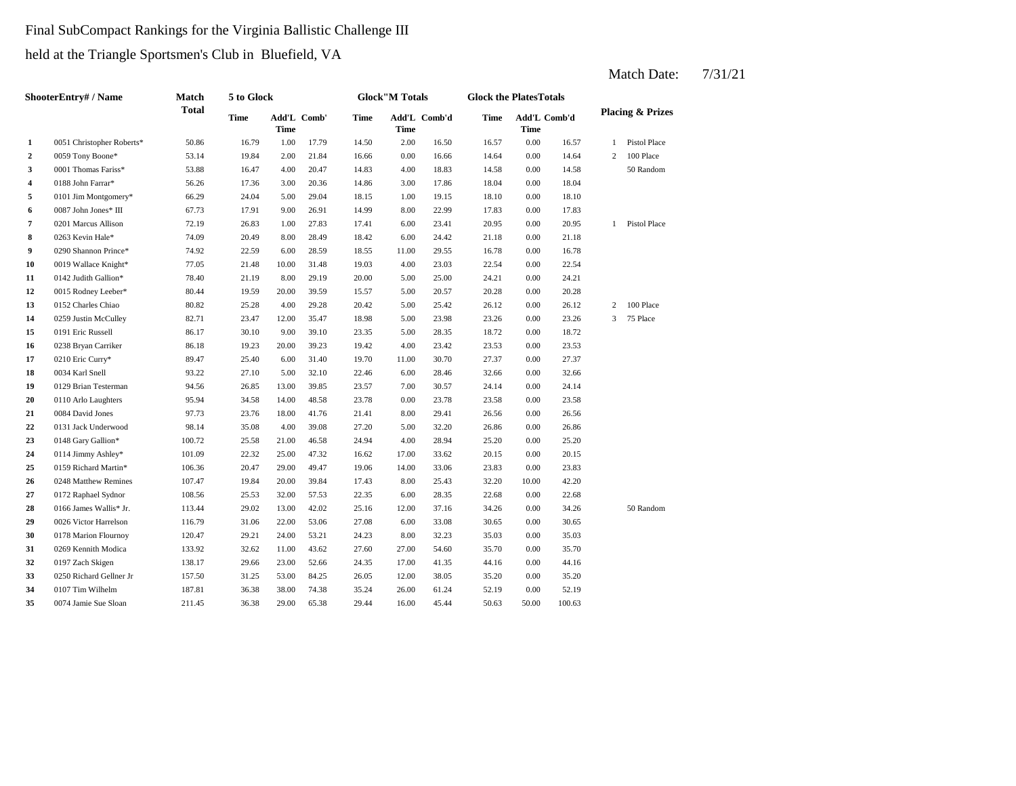## Final SubCompact Rankings for the Virginia Ballistic Challenge III held at the Triangle Sportsmen's Club in Bluefield, VA

**2** 0.059 Tony Boone\* 53.14 19.84 2.00 21.84 16.66 0.00 16.66 14.64 **3** 4.00 171 **homas Fariss\*** 53.88 16.47 4.00 20.47 14.83 4.00 18.83 14.58 **4** 3.00 18.04 0188 John Farrar\* 56.26 17.36 3.00 20.36 14.86 **5** 0101 Jim Montgomery\* 66.29 24.04 5.00 29.04 18.15 1.00 19.15 18.10 **6** 8.00 17.83 **17.91** 8.00 26.91 14.99 8.00 22.99 17.83 8.00 17.83 **6.00 7** 0201 Marcus Allison **72.19** 26.83 1.00 27.83 17.41 6.00 23.41 20.95 0.00 20.95 **8** 6.00 24.42 **11.18** 6.00 263 Kevin Hale\* 74.09 20.49 8.00 28.49 18.42 6.00 24.42 21.18 6.00 **9** 0290 Shannon Prince\* **74.92** 22.59 6.00 28.59 18.55 11.00 29.55 16.78 0.00 16.78 **10** 4.00 22.54 0019 Wallace Knight\* 77.05 21.48 10.00 31.48 19.03 **11** 0142 Judith Gallion\* 78.40 21.19 8.00 29.19 20.00 5.00 25.00 24.21 **12** 5.00 20.28 0015 Rodney Leeber\* 80.44 19.59 20.00 39.59 15.57 20.57 0.00 **13 5.00 152 Charles Chiao** 80.82 **25.28 4.00 29.28 20.42 5.00 25.42 26.12 0.00 26.12 14** 0259 Justin McCulley 82.71 23.47 12.00 35.47 18.98 5.00 23.98 23.26 0.00 **15** 5.00 18.72 0191 Eric Russell 86.17 30.10 9.00 39.10 23.35 28.35 **16** 0238 Bryan Carriker 86.18 19.23 20.00 39.23 19.42 4.00 23.42 23.53 0.00 **17** 0210 Eric Curry\* 89.47 25.40 6.00 31.40 19.70 11.00 30.70 27.37 0.00 27.37 **18** 6.00 32.66 **19** 0129 Brian Testerman **94.56** 26.85 13.00 39.85 23.57 7.00 30.57 24.14 **20** 0.00 23.58 0110 Arlo Laughters 95.94 34.58 14.00 48.58 23.78 23.78 0.00 **21** 0084 David Jones 97.73 23.76 18.00 41.76 21.41 8.00 29.41 26.56 0.00 26.56 **22** 5.00 26.86 0131 Jack Underwood 98.14 35.08 4.00 39.08 27.20 **23**  $0.148$  Gary Gallion\* 100.72 25.58 21.00 46.58 24.94 4.00 28.94 25.20 **24** 0114 Jimmy Ashley\* 101.09 22.32 25.00 47.32 16.62 17.00 33.62 20.15 0.00 **25** 14.00 23.83 0159 Richard Martin\* 106.36 20.47 29.00 49.47 19.06 33.06 0.00 23.83 **26** 8.00 32.20 0248 Matthew Remines 107.47 19.84 20.00 39.84 17.43 **27** 0172 Raphael Sydnor 108.56 25.53 32.00 57.53 22.35 6.00 28.35 22.68 **28** 12.00 37.16 34.26 12.00 37.16 34.26 12.00 16.000 37.16 34.26 0.00 **29** 0026 Victor Harrelson 116.79 31.06 22.00 53.06 27.08 6.00 33.08 30.65 0.00 **30** 0178 Marion Flournoy 120.47 29.21 24.00 53.21 24.23 8.00 32.23 35.03 0.00 35.03 **31** 27.00 35.70 0269 Kennith Modica 133.92 32.62 11.00 43.62 27.60 **32** 0197 Zach Skigen 138.17 29.66 23.00 52.66 24.35 17.00 41.35 44.16 **33** 12.00 31.25 53.00 84.25 26.05 12.00 38.05 35.20 0.00 **34** 0107 Tim Wilhelm 187.81 36.38 38.00 74.38 35.24 26.00 61.24 52.19 0.00 52.19 **35** 0074 Jamie Sue Sloan 211.45 36.38 29.00 65.38 29.44 16.00 45.44 50.63 50.00 100.63 35.20 0.00 44.16 54.60 35.70 0.00 35.70 30.65 34.26 50 Random 0.00 22.68 25.43 32.20 10.00 42.20 20.15 0.00 25.20  $32.20 \qquad \qquad 26.86 \qquad \qquad 0.00 \qquad \qquad 26.86$ 23.58 0.00 24.14 28.46 0.00 32.66 0034 Karl Snell 93.22 27.10 5.00 32.10 22.46 23.53 0.00 18.72 23.26 3 75 Place 2 100 Place 20.28 0.00 24.21 23.03 0.00 22.54 21.18 1 Pistol Place 17.83  $0.00\qquad \quad 18.10$ 17.86 18.04 0.00 18.04 18.83 14.58 0.00 14.58 50 Random 0.00 14.64 2 100 Place 16.57 1 Pistol Place 17.79 14.50 2.00 16.50 16.57 0.00 **Add'L Comb'd Time Add'L Time Time** Add'L Comb'd **1** 0051 Christopher Roberts\* 50.86 16.79 1.00 **ShooterEntry# / Name Match Total 5 to Glock Time Glock"M Totals Glock the PlatesTotals Placing & Prizes Time Add'L Time** Add'L Comb' **Time**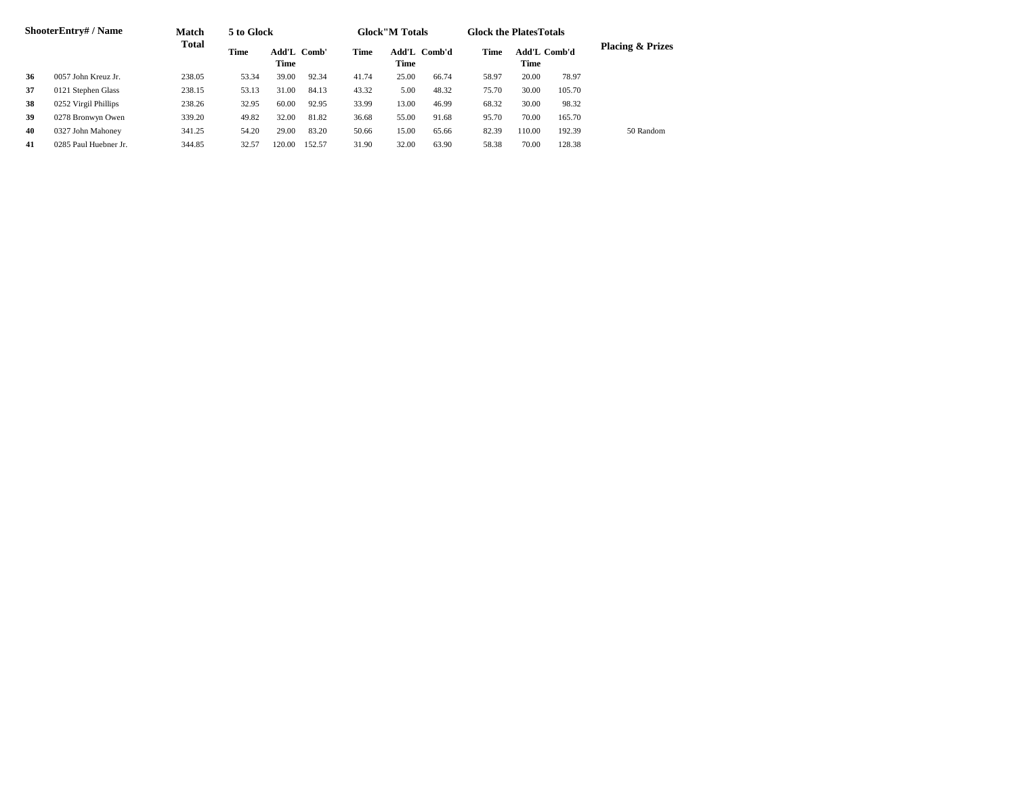| <b>ShooterEntry#/Name</b> |                       | <b>Match</b> | 5 to Glock                  |       |        | <b>Glock</b> "M Totals |                             |       | <b>Glock the PlatesTotals</b> |                                    |        |                             |
|---------------------------|-----------------------|--------------|-----------------------------|-------|--------|------------------------|-----------------------------|-------|-------------------------------|------------------------------------|--------|-----------------------------|
|                           |                       | <b>Total</b> | Time<br>Add'L Comb'<br>Time |       |        | Time                   | Add'L Comb'd<br><b>Time</b> |       | Time                          | <b>Add'L Comb'd</b><br><b>Time</b> |        | <b>Placing &amp; Prizes</b> |
| 36                        | 0057 John Kreuz Jr.   | 238.05       | 53.34                       | 39.00 | 92.34  | 41.74                  | 25.00                       | 66.74 | 58.97                         | 20.00                              | 78.97  |                             |
| 37                        | 0121 Stephen Glass    | 238.15       | 53.13                       | 31.00 | 84.13  | 43.32                  | 5.00                        | 48.32 | 75.70                         | 30.00                              | 105.70 |                             |
| 38                        | 0252 Virgil Phillips  | 238.26       | 32.95                       | 60.00 | 92.95  | 33.99                  | 13.00                       | 46.99 | 68.32                         | 30.00                              | 98.32  |                             |
| 39                        | 0278 Bronwyn Owen     | 339.20       | 49.82                       | 32.00 | 81.82  | 36.68                  | 55.00                       | 91.68 | 95.70                         | 70.00                              | 165.70 |                             |
| 40                        | 0327 John Mahoney     | 341.25       | 54.20                       | 29.00 | 83.20  | 50.66                  | 15.00                       | 65.66 | 82.39                         | 110.00                             | 192.39 | 50 Random                   |
| 41                        | 0285 Paul Huebner Jr. | 344.85       | 32.57                       | 20.00 | 152.57 | 31.90                  | 32.00                       | 63.90 | 58.38                         | 70.00                              | 128.38 |                             |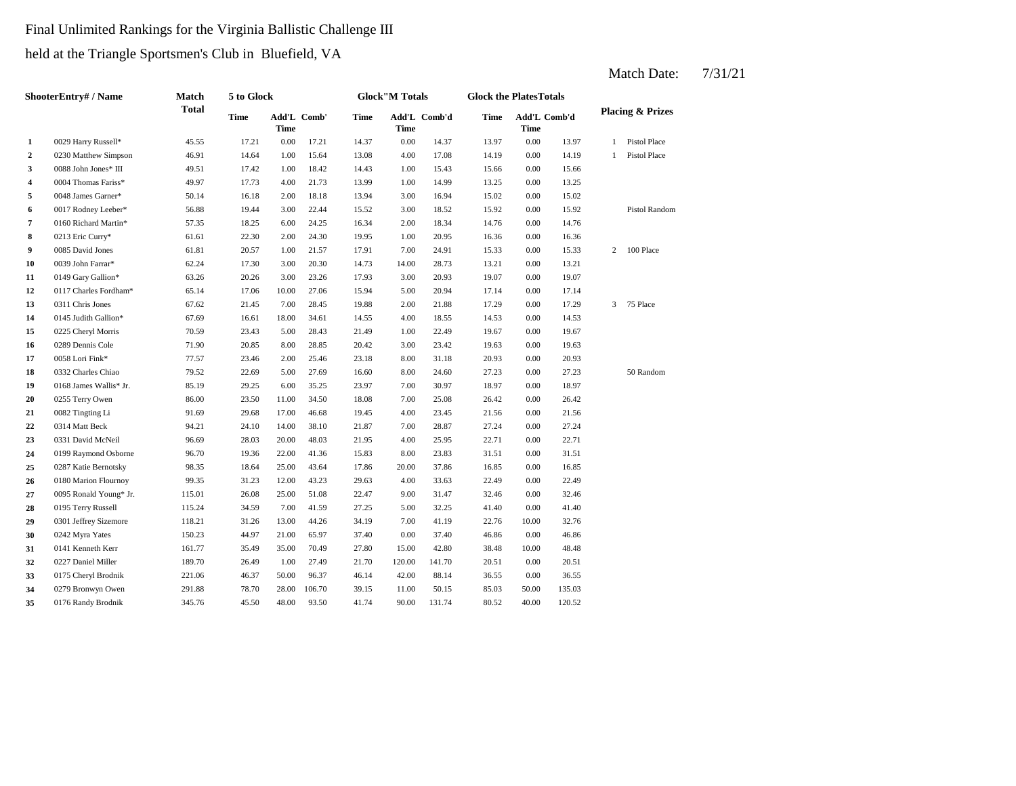# Final Unlimited Rankings for the Virginia Ballistic Challenge III held at the Triangle Sportsmen's Club in Bluefield, VA

| <b>ShooterEntry#/Name</b> |                        | <b>Match</b> | 5 to Glock  |                            |        |             | <b>Glock</b> "M Totals |              | <b>Glock the PlatesTotals</b> |                             |        |                |                             |
|---------------------------|------------------------|--------------|-------------|----------------------------|--------|-------------|------------------------|--------------|-------------------------------|-----------------------------|--------|----------------|-----------------------------|
|                           |                        | <b>Total</b> | <b>Time</b> | Add'L Comb'<br><b>Time</b> |        | <b>Time</b> | Time                   | Add'L Comb'd | <b>Time</b>                   | Add'L Comb'd<br><b>Time</b> |        |                | <b>Placing &amp; Prizes</b> |
| $\mathbf{1}$              | 0029 Harry Russell*    | 45.55        | 17.21       | $0.00\,$                   | 17.21  | 14.37       | 0.00                   | 14.37        | 13.97                         | 0.00                        | 13.97  | $\mathbf{1}$   | Pistol Place                |
| $\mathbf{2}$              | 0230 Matthew Simpson   | 46.91        | 14.64       | 1.00                       | 15.64  | 13.08       | 4.00                   | 17.08        | 14.19                         | 0.00                        | 14.19  | $\mathbf{1}$   | Pistol Place                |
| 3                         | 0088 John Jones* III   | 49.51        | 17.42       | 1.00                       | 18.42  | 14.43       | 1.00                   | 15.43        | 15.66                         | 0.00                        | 15.66  |                |                             |
| $\overline{\mathbf{4}}$   | 0004 Thomas Fariss*    | 49.97        | 17.73       | 4.00                       | 21.73  | 13.99       | 1.00                   | 14.99        | 13.25                         | 0.00                        | 13.25  |                |                             |
| 5                         | 0048 James Garner*     | 50.14        | 16.18       | 2.00                       | 18.18  | 13.94       | 3.00                   | 16.94        | 15.02                         | 0.00                        | 15.02  |                |                             |
| 6                         | 0017 Rodney Leeber*    | 56.88        | 19.44       | 3.00                       | 22.44  | 15.52       | 3.00                   | 18.52        | 15.92                         | 0.00                        | 15.92  |                | Pistol Random               |
| 7                         | 0160 Richard Martin*   | 57.35        | 18.25       | 6.00                       | 24.25  | 16.34       | 2.00                   | 18.34        | 14.76                         | 0.00                        | 14.76  |                |                             |
| 8                         | 0213 Eric Curry*       | 61.61        | 22.30       | 2.00                       | 24.30  | 19.95       | 1.00                   | 20.95        | 16.36                         | 0.00                        | 16.36  |                |                             |
| 9                         | 0085 David Jones       | 61.81        | 20.57       | 1.00                       | 21.57  | 17.91       | 7.00                   | 24.91        | 15.33                         | 0.00                        | 15.33  | $\overline{2}$ | 100 Place                   |
| 10                        | 0039 John Farrar*      | 62.24        | 17.30       | 3.00                       | 20.30  | 14.73       | 14.00                  | 28.73        | 13.21                         | 0.00                        | 13.21  |                |                             |
| 11                        | 0149 Gary Gallion*     | 63.26        | 20.26       | 3.00                       | 23.26  | 17.93       | 3.00                   | 20.93        | 19.07                         | 0.00                        | 19.07  |                |                             |
| 12                        | 0117 Charles Fordham*  | 65.14        | 17.06       | 10.00                      | 27.06  | 15.94       | 5.00                   | 20.94        | 17.14                         | 0.00                        | 17.14  |                |                             |
| 13                        | 0311 Chris Jones       | 67.62        | 21.45       | 7.00                       | 28.45  | 19.88       | 2.00                   | 21.88        | 17.29                         | 0.00                        | 17.29  | 3              | 75 Place                    |
| 14                        | 0145 Judith Gallion*   | 67.69        | 16.61       | 18.00                      | 34.61  | 14.55       | 4.00                   | 18.55        | 14.53                         | 0.00                        | 14.53  |                |                             |
| 15                        | 0225 Cheryl Morris     | 70.59        | 23.43       | 5.00                       | 28.43  | 21.49       | 1.00                   | 22.49        | 19.67                         | 0.00                        | 19.67  |                |                             |
| 16                        | 0289 Dennis Cole       | 71.90        | 20.85       | 8.00                       | 28.85  | 20.42       | 3.00                   | 23.42        | 19.63                         | 0.00                        | 19.63  |                |                             |
| 17                        | 0058 Lori Fink*        | 77.57        | 23.46       | 2.00                       | 25.46  | 23.18       | 8.00                   | 31.18        | 20.93                         | 0.00                        | 20.93  |                |                             |
| 18                        | 0332 Charles Chiao     | 79.52        | 22.69       | 5.00                       | 27.69  | 16.60       | 8.00                   | 24.60        | 27.23                         | 0.00                        | 27.23  |                | 50 Random                   |
| 19                        | 0168 James Wallis* Jr. | 85.19        | 29.25       | 6.00                       | 35.25  | 23.97       | 7.00                   | 30.97        | 18.97                         | 0.00                        | 18.97  |                |                             |
| 20                        | 0255 Terry Owen        | 86.00        | 23.50       | 11.00                      | 34.50  | 18.08       | 7.00                   | 25.08        | 26.42                         | 0.00                        | 26.42  |                |                             |
| 21                        | 0082 Tingting Li       | 91.69        | 29.68       | 17.00                      | 46.68  | 19.45       | 4.00                   | 23.45        | 21.56                         | 0.00                        | 21.56  |                |                             |
| 22                        | 0314 Matt Beck         | 94.21        | 24.10       | 14.00                      | 38.10  | 21.87       | 7.00                   | 28.87        | 27.24                         | 0.00                        | 27.24  |                |                             |
| 23                        | 0331 David McNeil      | 96.69        | 28.03       | 20.00                      | 48.03  | 21.95       | 4.00                   | 25.95        | 22.71                         | 0.00                        | 22.71  |                |                             |
| 24                        | 0199 Raymond Osborne   | 96.70        | 19.36       | 22.00                      | 41.36  | 15.83       | 8.00                   | 23.83        | 31.51                         | 0.00                        | 31.51  |                |                             |
| 25                        | 0287 Katie Bernotsky   | 98.35        | 18.64       | 25.00                      | 43.64  | 17.86       | 20.00                  | 37.86        | 16.85                         | 0.00                        | 16.85  |                |                             |
| 26                        | 0180 Marion Flournoy   | 99.35        | 31.23       | 12.00                      | 43.23  | 29.63       | 4.00                   | 33.63        | 22.49                         | 0.00                        | 22.49  |                |                             |
| 27                        | 0095 Ronald Young* Jr. | 115.01       | 26.08       | 25.00                      | 51.08  | 22.47       | 9.00                   | 31.47        | 32.46                         | 0.00                        | 32.46  |                |                             |
| 28                        | 0195 Terry Russell     | 115.24       | 34.59       | 7.00                       | 41.59  | 27.25       | 5.00                   | 32.25        | 41.40                         | 0.00                        | 41.40  |                |                             |
| 29                        | 0301 Jeffrey Sizemore  | 118.21       | 31.26       | 13.00                      | 44.26  | 34.19       | 7.00                   | 41.19        | 22.76                         | 10.00                       | 32.76  |                |                             |
| 30                        | 0242 Myra Yates        | 150.23       | 44.97       | 21.00                      | 65.97  | 37.40       | 0.00                   | 37.40        | 46.86                         | 0.00                        | 46.86  |                |                             |
| 31                        | 0141 Kenneth Kerr      | 161.77       | 35.49       | 35.00                      | 70.49  | 27.80       | 15.00                  | 42.80        | 38.48                         | 10.00                       | 48.48  |                |                             |
| 32                        | 0227 Daniel Miller     | 189.70       | 26.49       | 1.00                       | 27.49  | 21.70       | 120.00                 | 141.70       | 20.51                         | 0.00                        | 20.51  |                |                             |
| 33                        | 0175 Cheryl Brodnik    | 221.06       | 46.37       | 50.00                      | 96.37  | 46.14       | 42.00                  | 88.14        | 36.55                         | 0.00                        | 36.55  |                |                             |
| 34                        | 0279 Bronwyn Owen      | 291.88       | 78.70       | 28.00                      | 106.70 | 39.15       | 11.00                  | 50.15        | 85.03                         | 50.00                       | 135.03 |                |                             |
| 35                        | 0176 Randy Brodnik     | 345.76       | 45.50       | 48.00                      | 93.50  | 41.74       | 90.00                  | 131.74       | 80.52                         | 40.00                       | 120.52 |                |                             |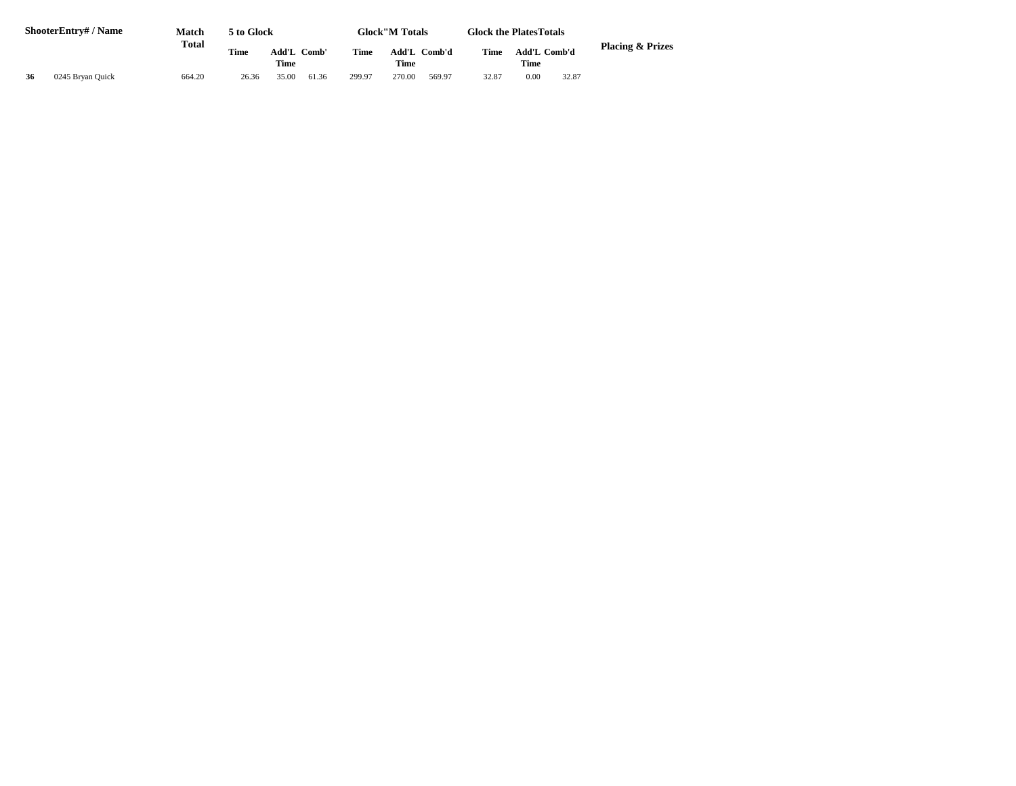|    | <b>ShooterEntry#/Name</b> | Match<br><b>Total</b> | 5 to Glock  |                |       |        | <b>Glock</b> "M Totals |              |       | <b>Glock the Plates Totals</b> |       |                             |
|----|---------------------------|-----------------------|-------------|----------------|-------|--------|------------------------|--------------|-------|--------------------------------|-------|-----------------------------|
|    |                           |                       | <b>Time</b> | Add'L<br>Comb' |       | Time   |                        | Add'L Comb'd |       | Add'L Comb'd                   |       | <b>Placing &amp; Prizes</b> |
|    |                           |                       |             | <b>Time</b>    |       |        | <b>Time</b>            |              |       | <b>Time</b>                    |       |                             |
| 36 | 0245 Bryan Quick          | 664.20                | 26.36       | 35.00          | 61.36 | 299.97 | 270.00                 | 569.97       | 32.87 | 0.00                           | 32.87 |                             |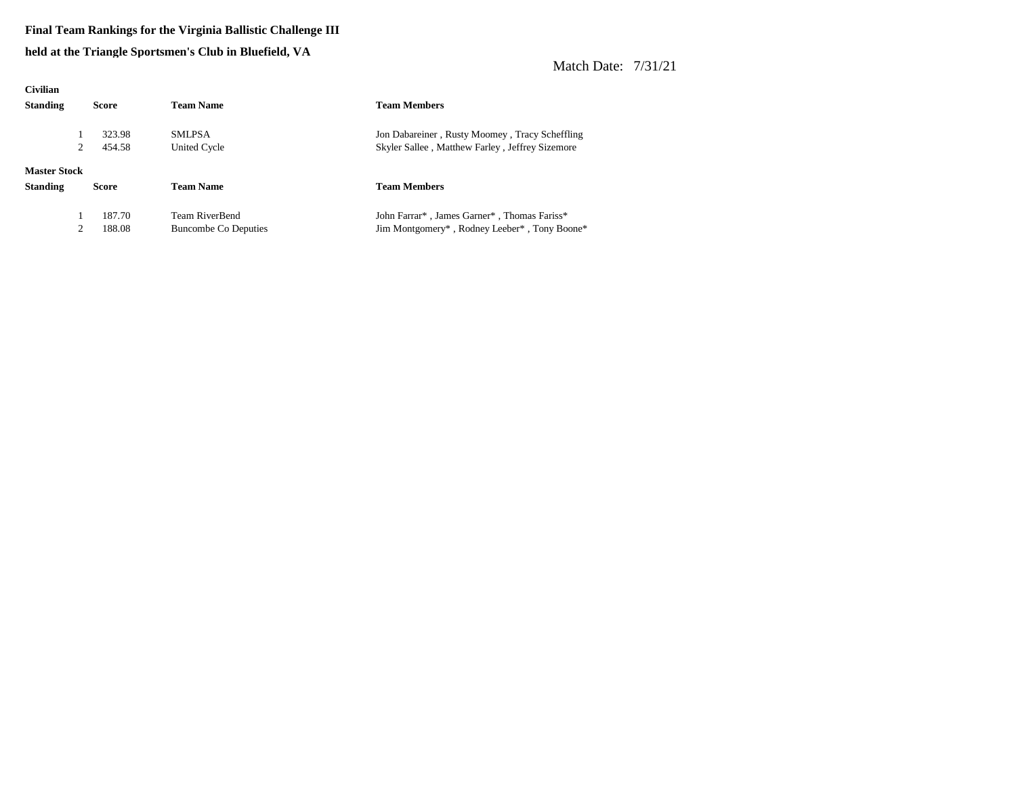#### **Final Team Rankings for the Virginia Ballistic Challenge III**

**held at the Triangle Sportsmen's Club in Bluefield, VA**

| <b>Civilian</b>     |              |                             |                                                                                   |
|---------------------|--------------|-----------------------------|-----------------------------------------------------------------------------------|
| <b>Standing</b>     | <b>Score</b> | <b>Team Name</b>            | <b>Team Members</b>                                                               |
|                     | 323.98       | <b>SMLPSA</b>               | Jon Dabareiner, Rusty Moomey, Tracy Scheffling                                    |
|                     | 2<br>454.58  | United Cycle                | Skyler Sallee, Matthew Farley, Jeffrey Sizemore                                   |
| <b>Master Stock</b> |              |                             |                                                                                   |
| <b>Standing</b>     | <b>Score</b> | <b>Team Name</b>            | <b>Team Members</b>                                                               |
|                     | 187.70       | <b>Team RiverBend</b>       | John Farrar <sup>*</sup> , James Garner <sup>*</sup> , Thomas Fariss <sup>*</sup> |
|                     | 2<br>188.08  | <b>Buncombe Co Deputies</b> | Jim Montgomery*, Rodney Leeber*, Tony Boone*                                      |